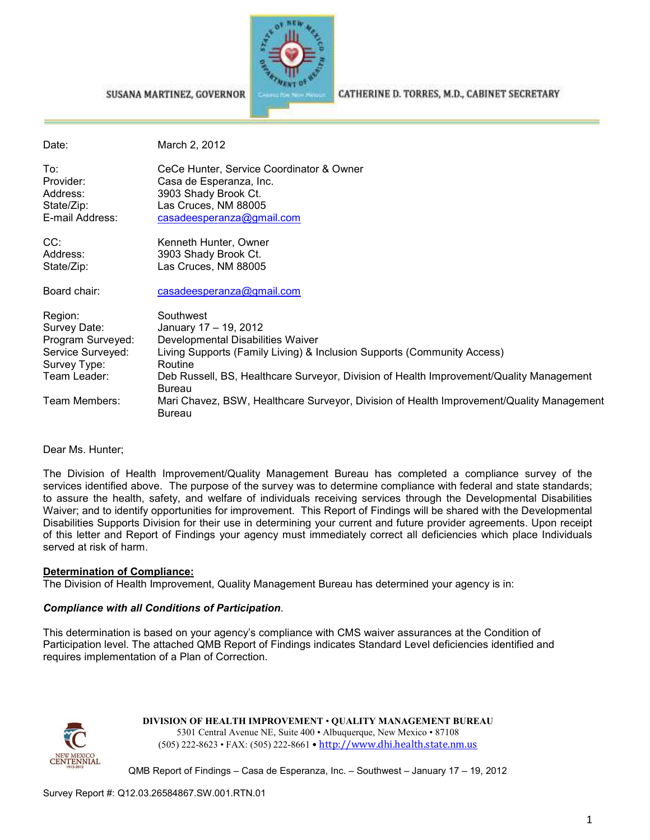

#### CATHERINE D. TORRES, M.D., CABINET SECRETARY

SUSANA MARTINEZ, GOVERNOR

Date: March 2, 2012

To: CeCe Hunter, Service Coordinator & Owner<br>
Provider: Casa de Esperanza, Inc. Casa de Esperanza, Inc. Address: 3903 Shady Brook Ct. State/Zip: Las Cruces, NM 88005 E-mail Address: casadeesperanza@gmail.com

CC: CC: Kenneth Hunter, Owner<br>Address: 3903 Shady Brook Ct. 3903 Shady Brook Ct. State/Zip: Las Cruces, NM 88005

Board chair: casadeesperanza@gmail.com

| Region:           | Southwest                                                                                                 |
|-------------------|-----------------------------------------------------------------------------------------------------------|
| Survey Date:      | January 17 - 19, 2012                                                                                     |
| Program Surveyed: | Developmental Disabilities Waiver                                                                         |
| Service Surveyed: | Living Supports (Family Living) & Inclusion Supports (Community Access)                                   |
| Survey Type:      | Routine                                                                                                   |
| Team Leader:      | Deb Russell, BS, Healthcare Surveyor, Division of Health Improvement/Quality Management<br><b>Bureau</b>  |
| Team Members:     | Mari Chavez, BSW, Healthcare Surveyor, Division of Health Improvement/Quality Management<br><b>Bureau</b> |

Dear Ms. Hunter;

The Division of Health Improvement/Quality Management Bureau has completed a compliance survey of the services identified above. The purpose of the survey was to determine compliance with federal and state standards; to assure the health, safety, and welfare of individuals receiving services through the Developmental Disabilities Waiver; and to identify opportunities for improvement. This Report of Findings will be shared with the Developmental Disabilities Supports Division for their use in determining your current and future provider agreements. Upon receipt of this letter and Report of Findings your agency must immediately correct all deficiencies which place Individuals served at risk of harm.

#### **Determination of Compliance:**

The Division of Health Improvement, Quality Management Bureau has determined your agency is in:

#### *Compliance with all Conditions of Participation*.

This determination is based on your agency's compliance with CMS waiver assurances at the Condition of Participation level. The attached QMB Report of Findings indicates Standard Level deficiencies identified and requires implementation of a Plan of Correction.



**DIVISION OF HEALTH IMPROVEMENT** • **QUALITY MANAGEMENT BUREAU** 5301 Central Avenue NE, Suite 400 • Albuquerque, New Mexico • 87108 (505) 222-8623 • FAX: (505) 222-8661 • http://www.dhi.health.state.nm.us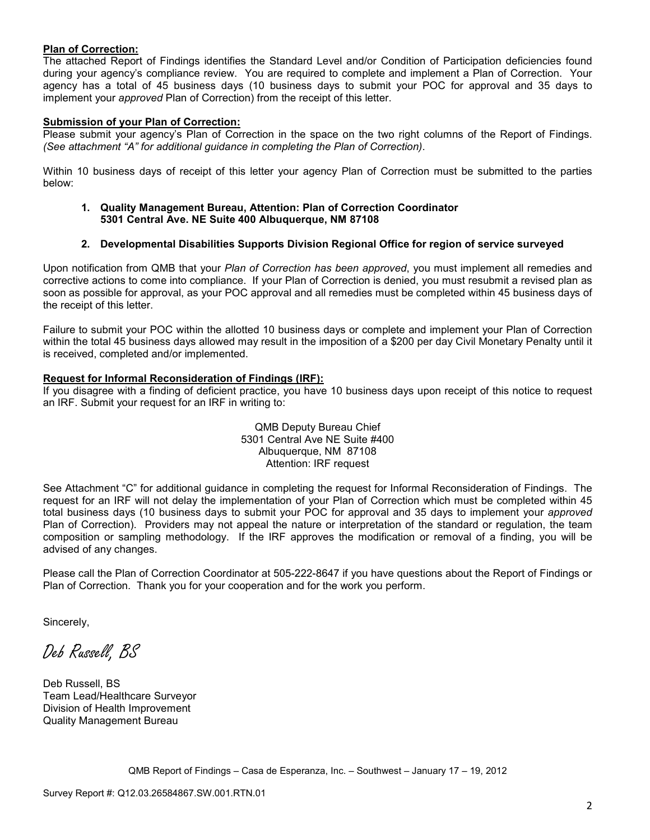#### **Plan of Correction:**

The attached Report of Findings identifies the Standard Level and/or Condition of Participation deficiencies found during your agency's compliance review. You are required to complete and implement a Plan of Correction. Your agency has a total of 45 business days (10 business days to submit your POC for approval and 35 days to implement your *approved* Plan of Correction) from the receipt of this letter.

#### **Submission of your Plan of Correction:**

Please submit your agency's Plan of Correction in the space on the two right columns of the Report of Findings. *(See attachment "A" for additional guidance in completing the Plan of Correction)*.

Within 10 business days of receipt of this letter your agency Plan of Correction must be submitted to the parties below:

**1. Quality Management Bureau, Attention: Plan of Correction Coordinator 5301 Central Ave. NE Suite 400 Albuquerque, NM 87108** 

#### **2. Developmental Disabilities Supports Division Regional Office for region of service surveyed**

Upon notification from QMB that your *Plan of Correction has been approved*, you must implement all remedies and corrective actions to come into compliance. If your Plan of Correction is denied, you must resubmit a revised plan as soon as possible for approval, as your POC approval and all remedies must be completed within 45 business days of the receipt of this letter.

Failure to submit your POC within the allotted 10 business days or complete and implement your Plan of Correction within the total 45 business days allowed may result in the imposition of a \$200 per day Civil Monetary Penalty until it is received, completed and/or implemented.

#### **Request for Informal Reconsideration of Findings (IRF):**

If you disagree with a finding of deficient practice, you have 10 business days upon receipt of this notice to request an IRF. Submit your request for an IRF in writing to:

> QMB Deputy Bureau Chief 5301 Central Ave NE Suite #400 Albuquerque, NM 87108 Attention: IRF request

See Attachment "C" for additional guidance in completing the request for Informal Reconsideration of Findings. The request for an IRF will not delay the implementation of your Plan of Correction which must be completed within 45 total business days (10 business days to submit your POC for approval and 35 days to implement your *approved* Plan of Correction). Providers may not appeal the nature or interpretation of the standard or regulation, the team composition or sampling methodology. If the IRF approves the modification or removal of a finding, you will be advised of any changes.

Please call the Plan of Correction Coordinator at 505-222-8647 if you have questions about the Report of Findings or Plan of Correction. Thank you for your cooperation and for the work you perform.

Sincerely,

Deb Russell, BS

Deb Russell, BS Team Lead/Healthcare Surveyor Division of Health Improvement Quality Management Bureau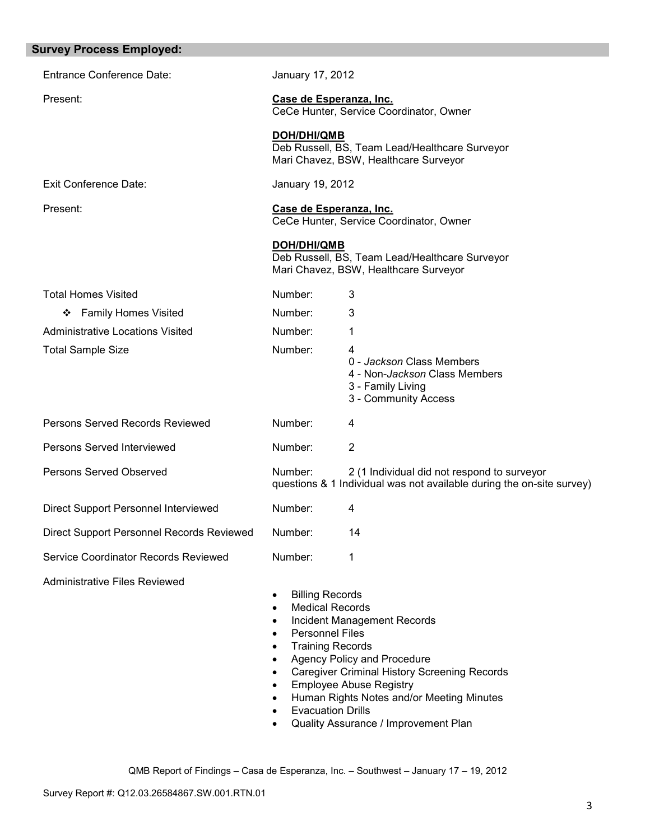| <b>Survey Process Employed:</b>           |                                                                                                                                                                                                                                                                                                                                                                                                                                                                                                    |  |
|-------------------------------------------|----------------------------------------------------------------------------------------------------------------------------------------------------------------------------------------------------------------------------------------------------------------------------------------------------------------------------------------------------------------------------------------------------------------------------------------------------------------------------------------------------|--|
| <b>Entrance Conference Date:</b>          | January 17, 2012                                                                                                                                                                                                                                                                                                                                                                                                                                                                                   |  |
| Present:                                  | Case de Esperanza, Inc.<br>CeCe Hunter, Service Coordinator, Owner                                                                                                                                                                                                                                                                                                                                                                                                                                 |  |
|                                           | <b>DOH/DHI/QMB</b><br>Deb Russell, BS, Team Lead/Healthcare Surveyor<br>Mari Chavez, BSW, Healthcare Surveyor                                                                                                                                                                                                                                                                                                                                                                                      |  |
| Exit Conference Date:                     | January 19, 2012                                                                                                                                                                                                                                                                                                                                                                                                                                                                                   |  |
| Present:                                  | Case de Esperanza, Inc.<br>CeCe Hunter, Service Coordinator, Owner                                                                                                                                                                                                                                                                                                                                                                                                                                 |  |
|                                           | <b>DOH/DHI/QMB</b><br>Deb Russell, BS, Team Lead/Healthcare Surveyor<br>Mari Chavez, BSW, Healthcare Surveyor                                                                                                                                                                                                                                                                                                                                                                                      |  |
| <b>Total Homes Visited</b>                | Number:<br>3                                                                                                                                                                                                                                                                                                                                                                                                                                                                                       |  |
| <b>Family Homes Visited</b><br>❖          | Number:<br>3                                                                                                                                                                                                                                                                                                                                                                                                                                                                                       |  |
| <b>Administrative Locations Visited</b>   | Number:<br>1                                                                                                                                                                                                                                                                                                                                                                                                                                                                                       |  |
| <b>Total Sample Size</b>                  | Number:<br>4<br>0 - Jackson Class Members<br>4 - Non-Jackson Class Members<br>3 - Family Living<br>3 - Community Access                                                                                                                                                                                                                                                                                                                                                                            |  |
| Persons Served Records Reviewed           | Number:<br>4                                                                                                                                                                                                                                                                                                                                                                                                                                                                                       |  |
| Persons Served Interviewed                | Number:<br>$\overline{2}$                                                                                                                                                                                                                                                                                                                                                                                                                                                                          |  |
| <b>Persons Served Observed</b>            | Number:<br>2 (1 Individual did not respond to surveyor<br>questions & 1 Individual was not available during the on-site survey)                                                                                                                                                                                                                                                                                                                                                                    |  |
| Direct Support Personnel Interviewed      | Number:<br>4                                                                                                                                                                                                                                                                                                                                                                                                                                                                                       |  |
| Direct Support Personnel Records Reviewed | Number:<br>14                                                                                                                                                                                                                                                                                                                                                                                                                                                                                      |  |
| Service Coordinator Records Reviewed      | Number:<br>1                                                                                                                                                                                                                                                                                                                                                                                                                                                                                       |  |
| <b>Administrative Files Reviewed</b>      | <b>Billing Records</b><br>$\bullet$<br><b>Medical Records</b><br>$\bullet$<br>Incident Management Records<br>$\bullet$<br><b>Personnel Files</b><br>$\bullet$<br><b>Training Records</b><br>$\bullet$<br>Agency Policy and Procedure<br>$\bullet$<br><b>Caregiver Criminal History Screening Records</b><br>$\bullet$<br><b>Employee Abuse Registry</b><br>$\bullet$<br>Human Rights Notes and/or Meeting Minutes<br>$\bullet$<br><b>Evacuation Drills</b><br>Quality Assurance / Improvement Plan |  |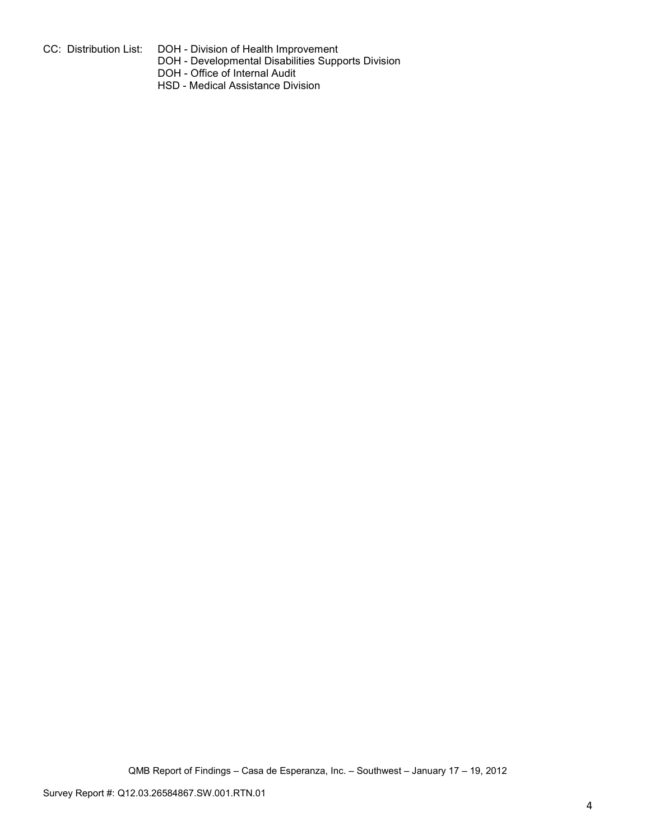- 
- CC: Distribution List: DOH Division of Health Improvement
	- DOH Developmental Disabilities Supports Division
	- DOH Office of Internal Audit
	- HSD Medical Assistance Division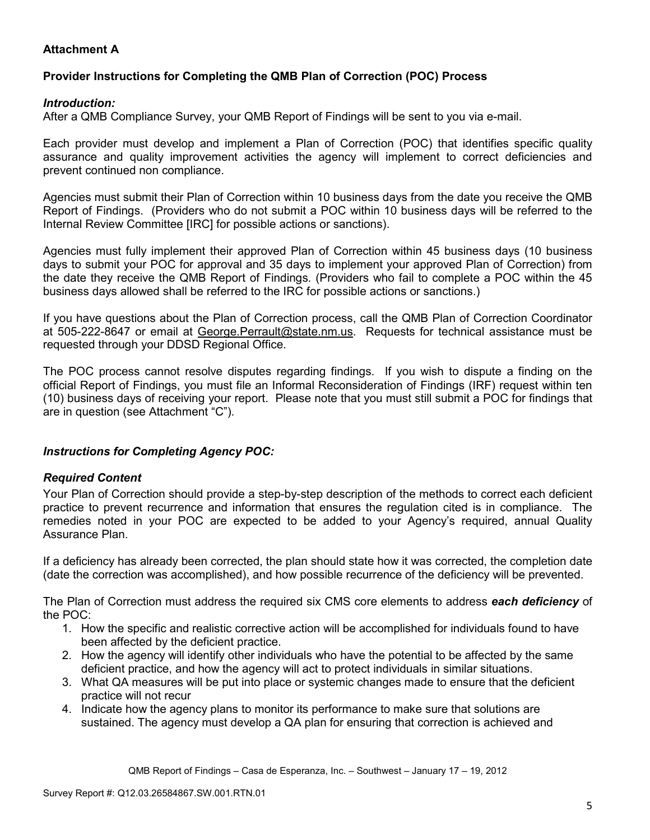# **Attachment A**

## **Provider Instructions for Completing the QMB Plan of Correction (POC) Process**

### *Introduction:*

After a QMB Compliance Survey, your QMB Report of Findings will be sent to you via e-mail.

Each provider must develop and implement a Plan of Correction (POC) that identifies specific quality assurance and quality improvement activities the agency will implement to correct deficiencies and prevent continued non compliance.

Agencies must submit their Plan of Correction within 10 business days from the date you receive the QMB Report of Findings. (Providers who do not submit a POC within 10 business days will be referred to the Internal Review Committee [IRC] for possible actions or sanctions).

Agencies must fully implement their approved Plan of Correction within 45 business days (10 business days to submit your POC for approval and 35 days to implement your approved Plan of Correction) from the date they receive the QMB Report of Findings. (Providers who fail to complete a POC within the 45 business days allowed shall be referred to the IRC for possible actions or sanctions.)

If you have questions about the Plan of Correction process, call the QMB Plan of Correction Coordinator at 505-222-8647 or email at George. Perrault@state.nm.us. Requests for technical assistance must be requested through your DDSD Regional Office.

The POC process cannot resolve disputes regarding findings. If you wish to dispute a finding on the official Report of Findings, you must file an Informal Reconsideration of Findings (IRF) request within ten (10) business days of receiving your report. Please note that you must still submit a POC for findings that are in question (see Attachment "C").

## *Instructions for Completing Agency POC:*

## *Required Content*

Your Plan of Correction should provide a step-by-step description of the methods to correct each deficient practice to prevent recurrence and information that ensures the regulation cited is in compliance. The remedies noted in your POC are expected to be added to your Agency's required, annual Quality Assurance Plan.

If a deficiency has already been corrected, the plan should state how it was corrected, the completion date (date the correction was accomplished), and how possible recurrence of the deficiency will be prevented.

The Plan of Correction must address the required six CMS core elements to address *each deficiency* of the POC:

- 1. How the specific and realistic corrective action will be accomplished for individuals found to have been affected by the deficient practice.
- 2. How the agency will identify other individuals who have the potential to be affected by the same deficient practice, and how the agency will act to protect individuals in similar situations.
- 3. What QA measures will be put into place or systemic changes made to ensure that the deficient practice will not recur
- 4. Indicate how the agency plans to monitor its performance to make sure that solutions are sustained. The agency must develop a QA plan for ensuring that correction is achieved and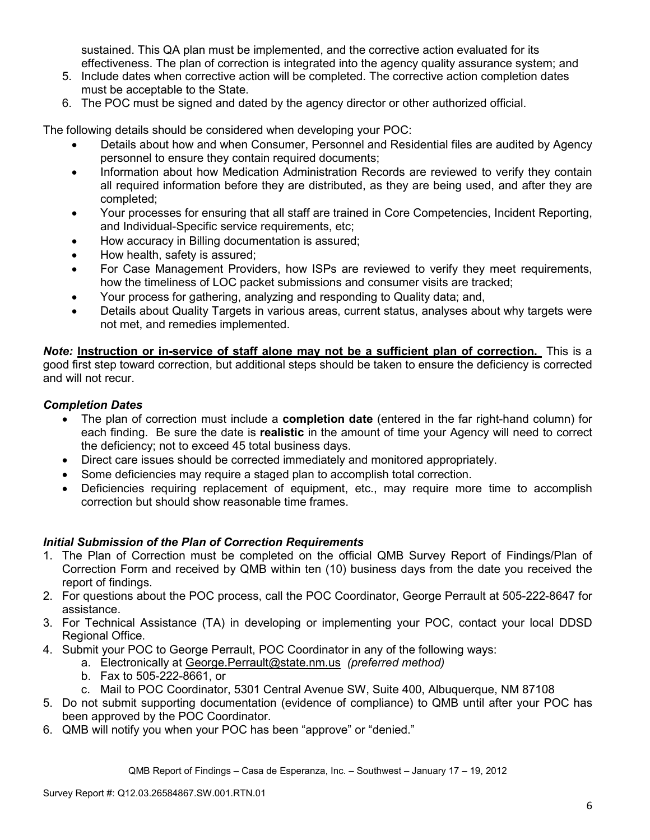sustained. This QA plan must be implemented, and the corrective action evaluated for its effectiveness. The plan of correction is integrated into the agency quality assurance system; and

- 5. Include dates when corrective action will be completed. The corrective action completion dates must be acceptable to the State.
- 6. The POC must be signed and dated by the agency director or other authorized official.

The following details should be considered when developing your POC:

- Details about how and when Consumer, Personnel and Residential files are audited by Agency personnel to ensure they contain required documents;
- Information about how Medication Administration Records are reviewed to verify they contain all required information before they are distributed, as they are being used, and after they are completed;
- Your processes for ensuring that all staff are trained in Core Competencies, Incident Reporting, and Individual-Specific service requirements, etc;
- How accuracy in Billing documentation is assured;
- How health, safety is assured;
- For Case Management Providers, how ISPs are reviewed to verify they meet requirements, how the timeliness of LOC packet submissions and consumer visits are tracked;
- Your process for gathering, analyzing and responding to Quality data; and,
- Details about Quality Targets in various areas, current status, analyses about why targets were not met, and remedies implemented.

*Note:* **Instruction or in-service of staff alone may not be a sufficient plan of correction.** This is a good first step toward correction, but additional steps should be taken to ensure the deficiency is corrected and will not recur.

## *Completion Dates*

- The plan of correction must include a **completion date** (entered in the far right-hand column) for each finding. Be sure the date is **realistic** in the amount of time your Agency will need to correct the deficiency; not to exceed 45 total business days.
- Direct care issues should be corrected immediately and monitored appropriately.
- Some deficiencies may require a staged plan to accomplish total correction.
- Deficiencies requiring replacement of equipment, etc., may require more time to accomplish correction but should show reasonable time frames.

## *Initial Submission of the Plan of Correction Requirements*

- 1. The Plan of Correction must be completed on the official QMB Survey Report of Findings/Plan of Correction Form and received by QMB within ten (10) business days from the date you received the report of findings.
- 2. For questions about the POC process, call the POC Coordinator, George Perrault at 505-222-8647 for assistance.
- 3. For Technical Assistance (TA) in developing or implementing your POC, contact your local DDSD Regional Office.
- 4. Submit your POC to George Perrault, POC Coordinator in any of the following ways:
	- a. Electronically at George.Perrault@state.nm.us *(preferred method)*
	- b. Fax to 505-222-8661, or
	- c. Mail to POC Coordinator, 5301 Central Avenue SW, Suite 400, Albuquerque, NM 87108
- 5. Do not submit supporting documentation (evidence of compliance) to QMB until after your POC has been approved by the POC Coordinator.
- 6. QMB will notify you when your POC has been "approve" or "denied."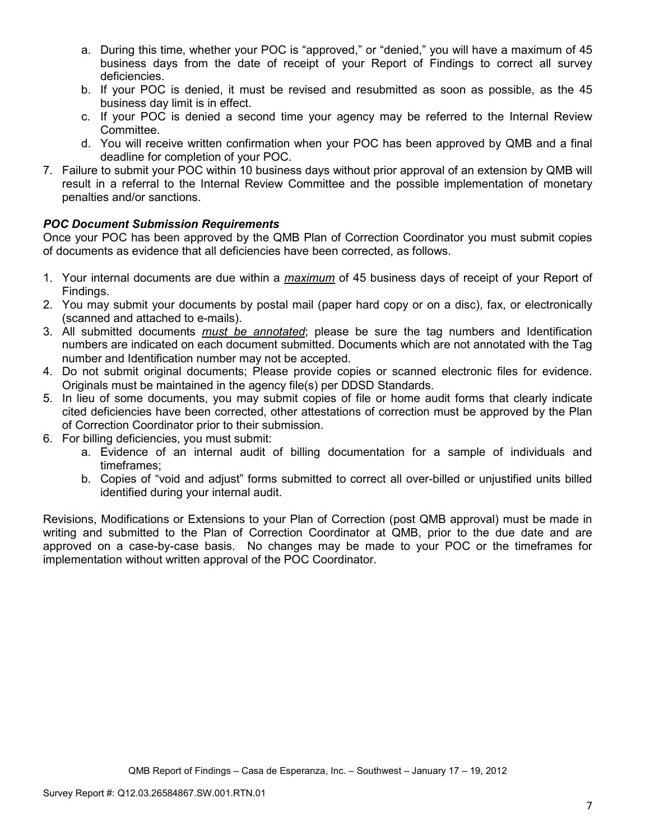- a. During this time, whether your POC is "approved," or "denied," you will have a maximum of 45 business days from the date of receipt of your Report of Findings to correct all survey deficiencies.
- b. If your POC is denied, it must be revised and resubmitted as soon as possible, as the 45 business day limit is in effect.
- c. If your POC is denied a second time your agency may be referred to the Internal Review Committee.
- d. You will receive written confirmation when your POC has been approved by QMB and a final deadline for completion of your POC.
- 7. Failure to submit your POC within 10 business days without prior approval of an extension by QMB will result in a referral to the Internal Review Committee and the possible implementation of monetary penalties and/or sanctions.

## *POC Document Submission Requirements*

Once your POC has been approved by the QMB Plan of Correction Coordinator you must submit copies of documents as evidence that all deficiencies have been corrected, as follows.

- 1. Your internal documents are due within a *maximum* of 45 business days of receipt of your Report of Findings.
- 2. You may submit your documents by postal mail (paper hard copy or on a disc), fax, or electronically (scanned and attached to e-mails).
- 3. All submitted documents *must be annotated*; please be sure the tag numbers and Identification numbers are indicated on each document submitted. Documents which are not annotated with the Tag number and Identification number may not be accepted.
- 4. Do not submit original documents; Please provide copies or scanned electronic files for evidence. Originals must be maintained in the agency file(s) per DDSD Standards.
- 5. In lieu of some documents, you may submit copies of file or home audit forms that clearly indicate cited deficiencies have been corrected, other attestations of correction must be approved by the Plan of Correction Coordinator prior to their submission.
- 6. For billing deficiencies, you must submit:
	- a. Evidence of an internal audit of billing documentation for a sample of individuals and timeframes;
	- b. Copies of "void and adjust" forms submitted to correct all over-billed or unjustified units billed identified during your internal audit.

Revisions, Modifications or Extensions to your Plan of Correction (post QMB approval) must be made in writing and submitted to the Plan of Correction Coordinator at QMB, prior to the due date and are approved on a case-by-case basis. No changes may be made to your POC or the timeframes for implementation without written approval of the POC Coordinator.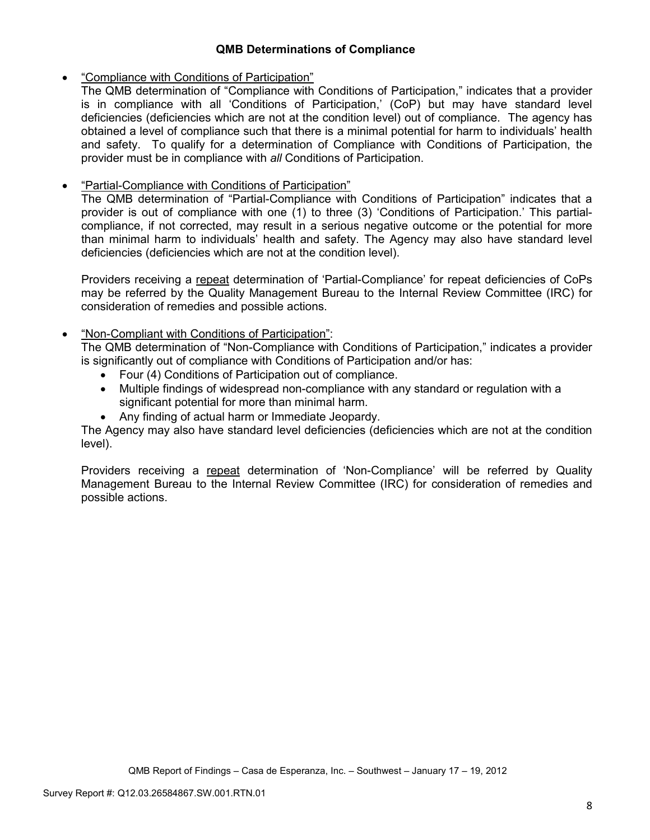## **QMB Determinations of Compliance**

## • "Compliance with Conditions of Participation"

The QMB determination of "Compliance with Conditions of Participation," indicates that a provider is in compliance with all 'Conditions of Participation,' (CoP) but may have standard level deficiencies (deficiencies which are not at the condition level) out of compliance. The agency has obtained a level of compliance such that there is a minimal potential for harm to individuals' health and safety. To qualify for a determination of Compliance with Conditions of Participation, the provider must be in compliance with *all* Conditions of Participation.

# • "Partial-Compliance with Conditions of Participation"

The QMB determination of "Partial-Compliance with Conditions of Participation" indicates that a provider is out of compliance with one (1) to three (3) 'Conditions of Participation.' This partialcompliance, if not corrected, may result in a serious negative outcome or the potential for more than minimal harm to individuals' health and safety. The Agency may also have standard level deficiencies (deficiencies which are not at the condition level).

Providers receiving a repeat determination of 'Partial-Compliance' for repeat deficiencies of CoPs may be referred by the Quality Management Bureau to the Internal Review Committee (IRC) for consideration of remedies and possible actions.

## • "Non-Compliant with Conditions of Participation":

The QMB determination of "Non-Compliance with Conditions of Participation," indicates a provider is significantly out of compliance with Conditions of Participation and/or has:

- Four (4) Conditions of Participation out of compliance.
- Multiple findings of widespread non-compliance with any standard or regulation with a significant potential for more than minimal harm.
- Any finding of actual harm or Immediate Jeopardy.

The Agency may also have standard level deficiencies (deficiencies which are not at the condition level).

Providers receiving a repeat determination of 'Non-Compliance' will be referred by Quality Management Bureau to the Internal Review Committee (IRC) for consideration of remedies and possible actions.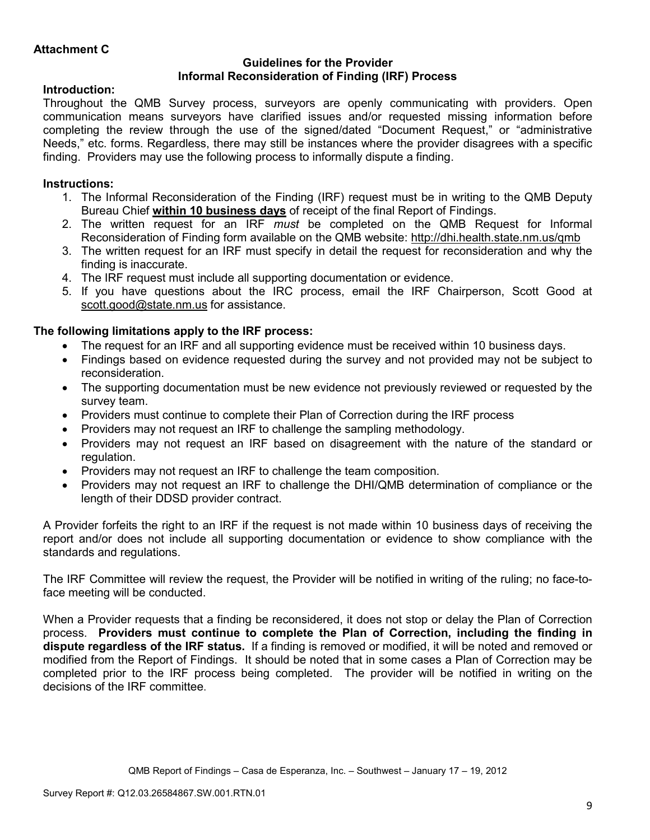#### **Guidelines for the Provider Informal Reconsideration of Finding (IRF) Process**

## **Introduction:**

Throughout the QMB Survey process, surveyors are openly communicating with providers. Open communication means surveyors have clarified issues and/or requested missing information before completing the review through the use of the signed/dated "Document Request," or "administrative Needs," etc. forms. Regardless, there may still be instances where the provider disagrees with a specific finding. Providers may use the following process to informally dispute a finding.

# **Instructions:**

- 1. The Informal Reconsideration of the Finding (IRF) request must be in writing to the QMB Deputy Bureau Chief **within 10 business days** of receipt of the final Report of Findings.
- 2. The written request for an IRF *must* be completed on the QMB Request for Informal Reconsideration of Finding form available on the QMB website: http://dhi.health.state.nm.us/qmb
- 3. The written request for an IRF must specify in detail the request for reconsideration and why the finding is inaccurate.
- 4. The IRF request must include all supporting documentation or evidence.
- 5. If you have questions about the IRC process, email the IRF Chairperson, Scott Good at scott.good@state.nm.us for assistance.

## **The following limitations apply to the IRF process:**

- The request for an IRF and all supporting evidence must be received within 10 business days.
- Findings based on evidence requested during the survey and not provided may not be subject to reconsideration.
- The supporting documentation must be new evidence not previously reviewed or requested by the survey team.
- Providers must continue to complete their Plan of Correction during the IRF process
- Providers may not request an IRF to challenge the sampling methodology.
- Providers may not request an IRF based on disagreement with the nature of the standard or regulation.
- Providers may not request an IRF to challenge the team composition.
- Providers may not request an IRF to challenge the DHI/QMB determination of compliance or the length of their DDSD provider contract.

A Provider forfeits the right to an IRF if the request is not made within 10 business days of receiving the report and/or does not include all supporting documentation or evidence to show compliance with the standards and regulations.

The IRF Committee will review the request, the Provider will be notified in writing of the ruling; no face-toface meeting will be conducted.

When a Provider requests that a finding be reconsidered, it does not stop or delay the Plan of Correction process. **Providers must continue to complete the Plan of Correction, including the finding in dispute regardless of the IRF status.** If a finding is removed or modified, it will be noted and removed or modified from the Report of Findings. It should be noted that in some cases a Plan of Correction may be completed prior to the IRF process being completed. The provider will be notified in writing on the decisions of the IRF committee.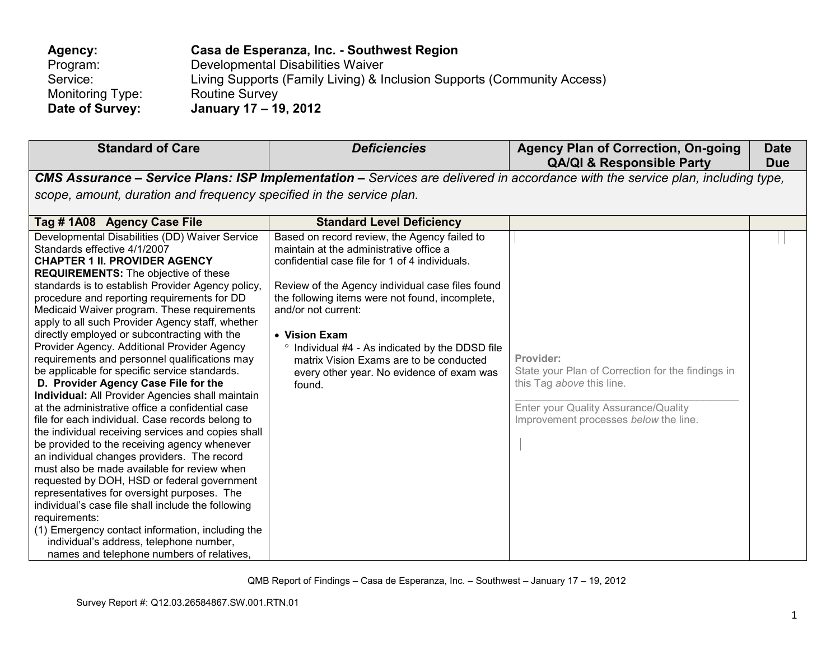| Agency:          | Casa de Esperanza, Inc. - Southwest Region                              |
|------------------|-------------------------------------------------------------------------|
| Program:         | Developmental Disabilities Waiver                                       |
| Service:         | Living Supports (Family Living) & Inclusion Supports (Community Access) |
| Monitoring Type: | <b>Routine Survey</b>                                                   |
| Date of Survey:  | January 17 – 19, 2012                                                   |

| <b>Standard of Care</b>                                                                                                                                                                                                                                                                                                                                                                                                                                                                                                                                                                                                                                                                                                                                                                                                                                                                                                                                                                                                                                                                                                                                                                                                                                                                                | <b>Deficiencies</b>                                                                                                                                                                                                                                                                                                                                                                                                                           | <b>Agency Plan of Correction, On-going</b><br><b>QA/QI &amp; Responsible Party</b>                                                                                           | <b>Date</b><br><b>Due</b> |
|--------------------------------------------------------------------------------------------------------------------------------------------------------------------------------------------------------------------------------------------------------------------------------------------------------------------------------------------------------------------------------------------------------------------------------------------------------------------------------------------------------------------------------------------------------------------------------------------------------------------------------------------------------------------------------------------------------------------------------------------------------------------------------------------------------------------------------------------------------------------------------------------------------------------------------------------------------------------------------------------------------------------------------------------------------------------------------------------------------------------------------------------------------------------------------------------------------------------------------------------------------------------------------------------------------|-----------------------------------------------------------------------------------------------------------------------------------------------------------------------------------------------------------------------------------------------------------------------------------------------------------------------------------------------------------------------------------------------------------------------------------------------|------------------------------------------------------------------------------------------------------------------------------------------------------------------------------|---------------------------|
|                                                                                                                                                                                                                                                                                                                                                                                                                                                                                                                                                                                                                                                                                                                                                                                                                                                                                                                                                                                                                                                                                                                                                                                                                                                                                                        |                                                                                                                                                                                                                                                                                                                                                                                                                                               | CMS Assurance - Service Plans: ISP Implementation - Services are delivered in accordance with the service plan, including type,                                              |                           |
| scope, amount, duration and frequency specified in the service plan.                                                                                                                                                                                                                                                                                                                                                                                                                                                                                                                                                                                                                                                                                                                                                                                                                                                                                                                                                                                                                                                                                                                                                                                                                                   |                                                                                                                                                                                                                                                                                                                                                                                                                                               |                                                                                                                                                                              |                           |
| Tag #1A08 Agency Case File                                                                                                                                                                                                                                                                                                                                                                                                                                                                                                                                                                                                                                                                                                                                                                                                                                                                                                                                                                                                                                                                                                                                                                                                                                                                             | <b>Standard Level Deficiency</b>                                                                                                                                                                                                                                                                                                                                                                                                              |                                                                                                                                                                              |                           |
| Developmental Disabilities (DD) Waiver Service<br>Standards effective 4/1/2007<br><b>CHAPTER 1 II. PROVIDER AGENCY</b><br><b>REQUIREMENTS:</b> The objective of these<br>standards is to establish Provider Agency policy,<br>procedure and reporting requirements for DD<br>Medicaid Waiver program. These requirements<br>apply to all such Provider Agency staff, whether<br>directly employed or subcontracting with the<br>Provider Agency. Additional Provider Agency<br>requirements and personnel qualifications may<br>be applicable for specific service standards.<br>D. Provider Agency Case File for the<br>Individual: All Provider Agencies shall maintain<br>at the administrative office a confidential case<br>file for each individual. Case records belong to<br>the individual receiving services and copies shall<br>be provided to the receiving agency whenever<br>an individual changes providers. The record<br>must also be made available for review when<br>requested by DOH, HSD or federal government<br>representatives for oversight purposes. The<br>individual's case file shall include the following<br>requirements:<br>(1) Emergency contact information, including the<br>individual's address, telephone number,<br>names and telephone numbers of relatives, | Based on record review, the Agency failed to<br>maintain at the administrative office a<br>confidential case file for 1 of 4 individuals.<br>Review of the Agency individual case files found<br>the following items were not found, incomplete,<br>and/or not current:<br>• Vision Exam<br>° Individual #4 - As indicated by the DDSD file<br>matrix Vision Exams are to be conducted<br>every other year. No evidence of exam was<br>found. | Provider:<br>State your Plan of Correction for the findings in<br>this Tag above this line.<br>Enter your Quality Assurance/Quality<br>Improvement processes below the line. |                           |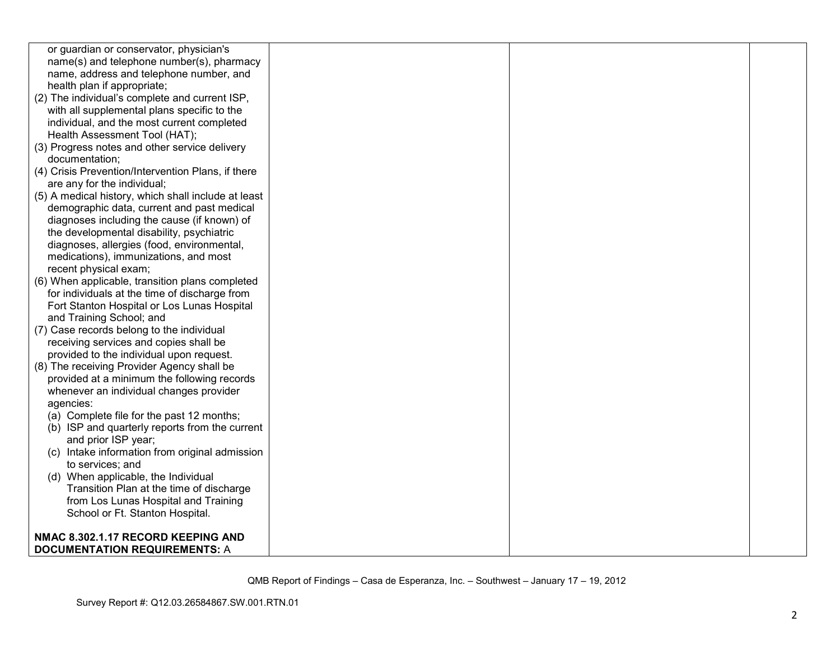| or guardian or conservator, physician's             |  |  |
|-----------------------------------------------------|--|--|
| name(s) and telephone number(s), pharmacy           |  |  |
| name, address and telephone number, and             |  |  |
| health plan if appropriate;                         |  |  |
| (2) The individual's complete and current ISP,      |  |  |
| with all supplemental plans specific to the         |  |  |
| individual, and the most current completed          |  |  |
| Health Assessment Tool (HAT);                       |  |  |
| (3) Progress notes and other service delivery       |  |  |
| documentation;                                      |  |  |
| (4) Crisis Prevention/Intervention Plans, if there  |  |  |
| are any for the individual;                         |  |  |
| (5) A medical history, which shall include at least |  |  |
| demographic data, current and past medical          |  |  |
| diagnoses including the cause (if known) of         |  |  |
| the developmental disability, psychiatric           |  |  |
| diagnoses, allergies (food, environmental,          |  |  |
| medications), immunizations, and most               |  |  |
| recent physical exam;                               |  |  |
| (6) When applicable, transition plans completed     |  |  |
| for individuals at the time of discharge from       |  |  |
| Fort Stanton Hospital or Los Lunas Hospital         |  |  |
| and Training School; and                            |  |  |
| (7) Case records belong to the individual           |  |  |
| receiving services and copies shall be              |  |  |
| provided to the individual upon request.            |  |  |
| (8) The receiving Provider Agency shall be          |  |  |
| provided at a minimum the following records         |  |  |
| whenever an individual changes provider             |  |  |
| agencies:                                           |  |  |
| (a) Complete file for the past 12 months;           |  |  |
| (b) ISP and quarterly reports from the current      |  |  |
| and prior ISP year;                                 |  |  |
| (c) Intake information from original admission      |  |  |
| to services; and                                    |  |  |
| (d) When applicable, the Individual                 |  |  |
| Transition Plan at the time of discharge            |  |  |
| from Los Lunas Hospital and Training                |  |  |
| School or Ft. Stanton Hospital.                     |  |  |
|                                                     |  |  |
| NMAC 8.302.1.17 RECORD KEEPING AND                  |  |  |
| <b>DOCUMENTATION REQUIREMENTS: A</b>                |  |  |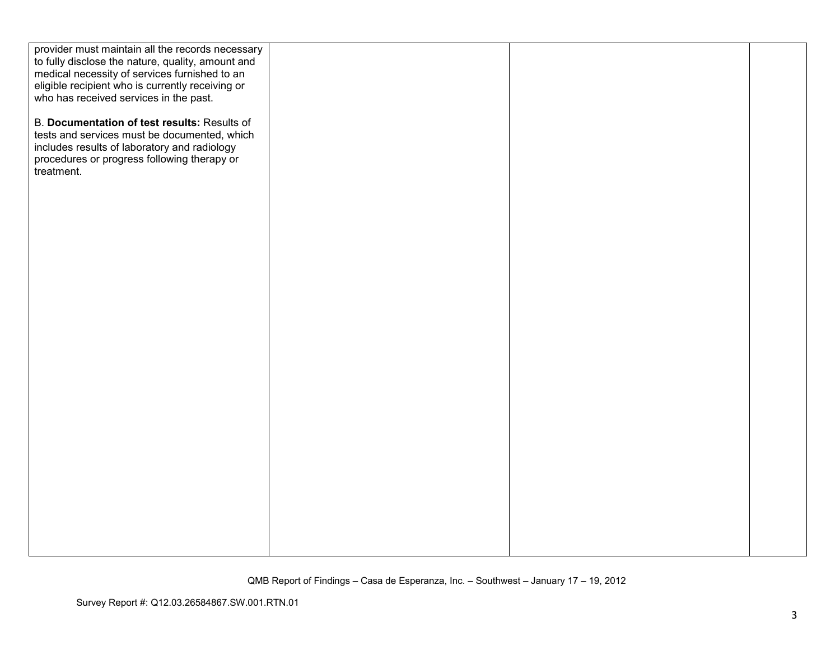| provider must maintain all the records necessary  |  |  |
|---------------------------------------------------|--|--|
| to fully disclose the nature, quality, amount and |  |  |
| medical necessity of services furnished to an     |  |  |
| eligible recipient who is currently receiving or  |  |  |
| who has received services in the past.            |  |  |
|                                                   |  |  |
| B. Documentation of test results: Results of      |  |  |
| tests and services must be documented, which      |  |  |
| includes results of laboratory and radiology      |  |  |
| procedures or progress following therapy or       |  |  |
| treatment.                                        |  |  |
|                                                   |  |  |
|                                                   |  |  |
|                                                   |  |  |
|                                                   |  |  |
|                                                   |  |  |
|                                                   |  |  |
|                                                   |  |  |
|                                                   |  |  |
|                                                   |  |  |
|                                                   |  |  |
|                                                   |  |  |
|                                                   |  |  |
|                                                   |  |  |
|                                                   |  |  |
|                                                   |  |  |
|                                                   |  |  |
|                                                   |  |  |
|                                                   |  |  |
|                                                   |  |  |
|                                                   |  |  |
|                                                   |  |  |
|                                                   |  |  |
|                                                   |  |  |
|                                                   |  |  |
|                                                   |  |  |
|                                                   |  |  |
|                                                   |  |  |
|                                                   |  |  |
|                                                   |  |  |
|                                                   |  |  |
|                                                   |  |  |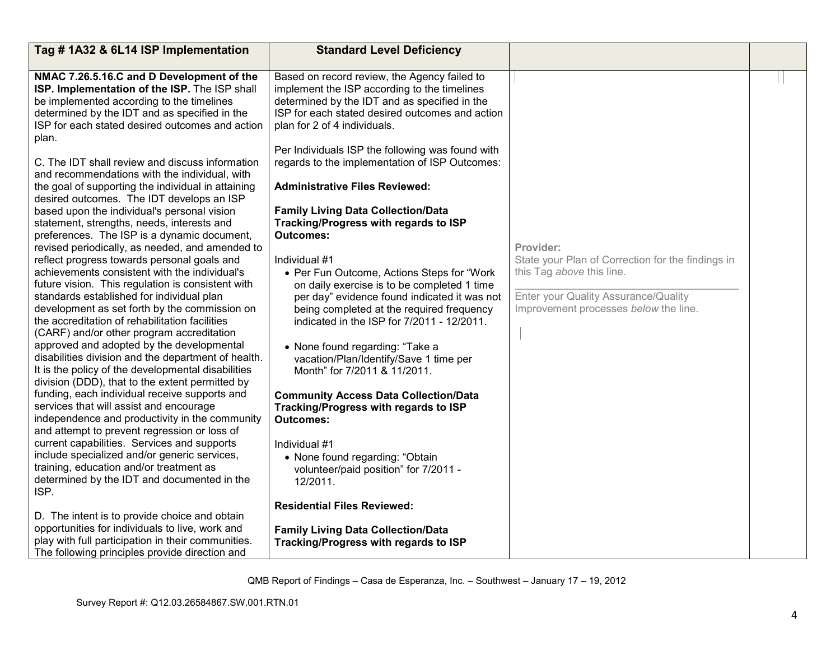| Tag #1A32 & 6L14 ISP Implementation                                                                                                                                                                                                                                                                                                                                                                                                                                                                                                                                                                                                                                                                                                                                                                                                                                                                                                                                                                                                                                                                                                                                                                                                                                                                                                                                                                                                                                                                                                                                                                                                                                                                                                                                                                                                  | <b>Standard Level Deficiency</b>                                                                                                                                                                                                                                                                                                                                                                                                                                                                                                                                                                                                                                                                                                                                                                                                                                                                                                                                                                                                                                                                                                                                                                           |                                                                                                                                                                              |  |
|--------------------------------------------------------------------------------------------------------------------------------------------------------------------------------------------------------------------------------------------------------------------------------------------------------------------------------------------------------------------------------------------------------------------------------------------------------------------------------------------------------------------------------------------------------------------------------------------------------------------------------------------------------------------------------------------------------------------------------------------------------------------------------------------------------------------------------------------------------------------------------------------------------------------------------------------------------------------------------------------------------------------------------------------------------------------------------------------------------------------------------------------------------------------------------------------------------------------------------------------------------------------------------------------------------------------------------------------------------------------------------------------------------------------------------------------------------------------------------------------------------------------------------------------------------------------------------------------------------------------------------------------------------------------------------------------------------------------------------------------------------------------------------------------------------------------------------------|------------------------------------------------------------------------------------------------------------------------------------------------------------------------------------------------------------------------------------------------------------------------------------------------------------------------------------------------------------------------------------------------------------------------------------------------------------------------------------------------------------------------------------------------------------------------------------------------------------------------------------------------------------------------------------------------------------------------------------------------------------------------------------------------------------------------------------------------------------------------------------------------------------------------------------------------------------------------------------------------------------------------------------------------------------------------------------------------------------------------------------------------------------------------------------------------------------|------------------------------------------------------------------------------------------------------------------------------------------------------------------------------|--|
| NMAC 7.26.5.16.C and D Development of the<br>ISP. Implementation of the ISP. The ISP shall<br>be implemented according to the timelines<br>determined by the IDT and as specified in the<br>ISP for each stated desired outcomes and action<br>plan.<br>C. The IDT shall review and discuss information<br>and recommendations with the individual, with<br>the goal of supporting the individual in attaining<br>desired outcomes. The IDT develops an ISP<br>based upon the individual's personal vision<br>statement, strengths, needs, interests and<br>preferences. The ISP is a dynamic document,<br>revised periodically, as needed, and amended to<br>reflect progress towards personal goals and<br>achievements consistent with the individual's<br>future vision. This regulation is consistent with<br>standards established for individual plan<br>development as set forth by the commission on<br>the accreditation of rehabilitation facilities<br>(CARF) and/or other program accreditation<br>approved and adopted by the developmental<br>disabilities division and the department of health.<br>It is the policy of the developmental disabilities<br>division (DDD), that to the extent permitted by<br>funding, each individual receive supports and<br>services that will assist and encourage<br>independence and productivity in the community<br>and attempt to prevent regression or loss of<br>current capabilities. Services and supports<br>include specialized and/or generic services,<br>training, education and/or treatment as<br>determined by the IDT and documented in the<br>ISP.<br>D. The intent is to provide choice and obtain<br>opportunities for individuals to live, work and<br>play with full participation in their communities.<br>The following principles provide direction and | Based on record review, the Agency failed to<br>implement the ISP according to the timelines<br>determined by the IDT and as specified in the<br>ISP for each stated desired outcomes and action<br>plan for 2 of 4 individuals.<br>Per Individuals ISP the following was found with<br>regards to the implementation of ISP Outcomes:<br><b>Administrative Files Reviewed:</b><br><b>Family Living Data Collection/Data</b><br>Tracking/Progress with regards to ISP<br>Outcomes:<br>Individual #1<br>• Per Fun Outcome, Actions Steps for "Work<br>on daily exercise is to be completed 1 time<br>per day" evidence found indicated it was not<br>being completed at the required frequency<br>indicated in the ISP for 7/2011 - 12/2011.<br>• None found regarding: "Take a<br>vacation/Plan/Identify/Save 1 time per<br>Month" for 7/2011 & 11/2011.<br><b>Community Access Data Collection/Data</b><br>Tracking/Progress with regards to ISP<br><b>Outcomes:</b><br>Individual #1<br>• None found regarding: "Obtain<br>volunteer/paid position" for 7/2011 -<br>12/2011.<br><b>Residential Files Reviewed:</b><br><b>Family Living Data Collection/Data</b><br>Tracking/Progress with regards to ISP | Provider:<br>State your Plan of Correction for the findings in<br>this Tag above this line.<br>Enter your Quality Assurance/Quality<br>Improvement processes below the line. |  |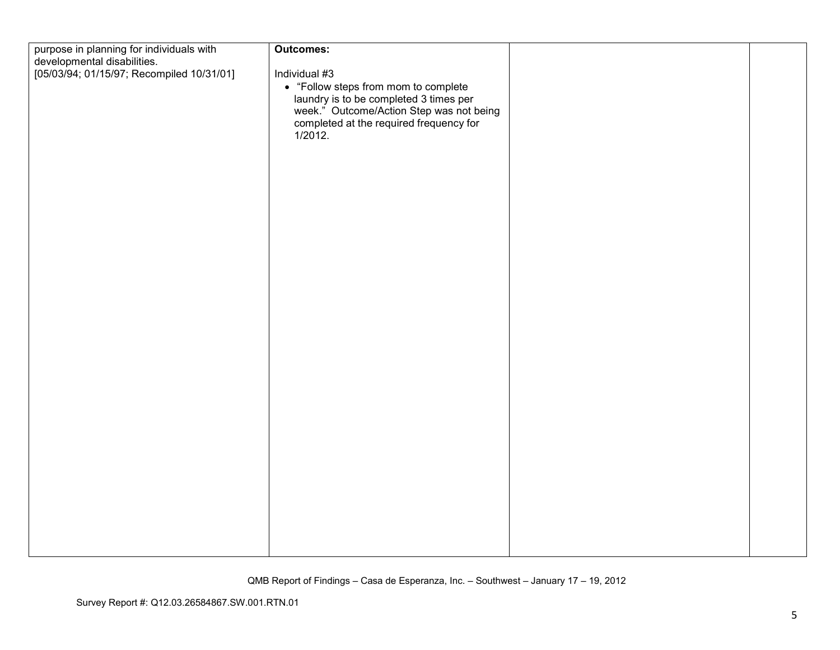| purpose in planning for individuals with                                 | Outcomes:                                                                                                                     |  |
|--------------------------------------------------------------------------|-------------------------------------------------------------------------------------------------------------------------------|--|
| developmental disabilities.<br>[05/03/94; 01/15/97; Recompiled 10/31/01] | Individual #3                                                                                                                 |  |
|                                                                          | • "Follow steps from mom to complete                                                                                          |  |
|                                                                          | laundry is to be completed 3 times per<br>week." Outcome/Action Step was not being<br>completed at the required frequency for |  |
|                                                                          |                                                                                                                               |  |
|                                                                          | 1/2012.                                                                                                                       |  |
|                                                                          |                                                                                                                               |  |
|                                                                          |                                                                                                                               |  |
|                                                                          |                                                                                                                               |  |
|                                                                          |                                                                                                                               |  |
|                                                                          |                                                                                                                               |  |
|                                                                          |                                                                                                                               |  |
|                                                                          |                                                                                                                               |  |
|                                                                          |                                                                                                                               |  |
|                                                                          |                                                                                                                               |  |
|                                                                          |                                                                                                                               |  |
|                                                                          |                                                                                                                               |  |
|                                                                          |                                                                                                                               |  |
|                                                                          |                                                                                                                               |  |
|                                                                          |                                                                                                                               |  |
|                                                                          |                                                                                                                               |  |
|                                                                          |                                                                                                                               |  |
|                                                                          |                                                                                                                               |  |
|                                                                          |                                                                                                                               |  |
|                                                                          |                                                                                                                               |  |
|                                                                          |                                                                                                                               |  |
|                                                                          |                                                                                                                               |  |
|                                                                          |                                                                                                                               |  |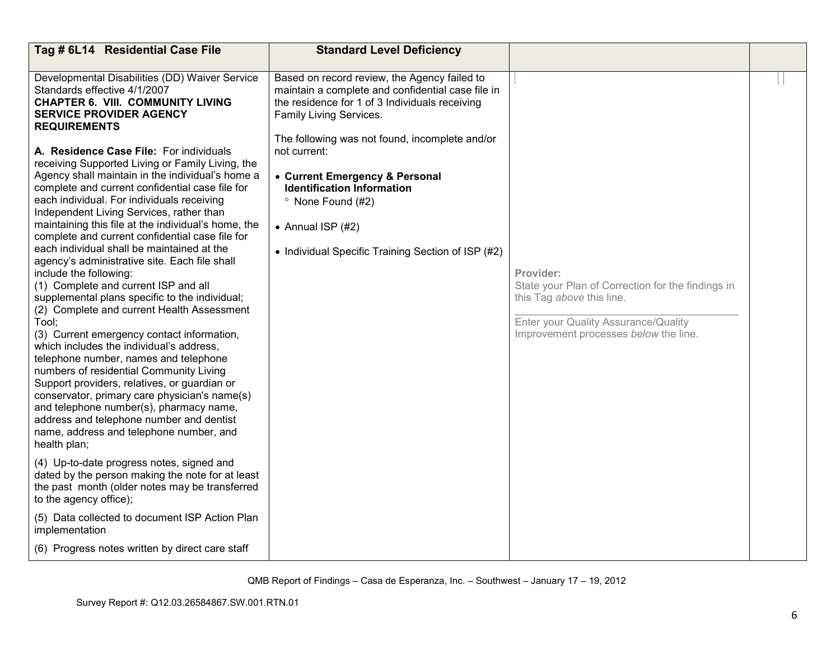| Tag # 6L14 Residential Case File                                                                                                                                                                                                                                                                                                                                                                                                                                                                                                                                                                                                                                                                                                                                                                                                                                                                                                                                                                                                                                                                                                                                                                                                                                                                         | <b>Standard Level Deficiency</b>                                                                                                                                                                                                                                                                                                                                                                                                   |                                                                                                                                                                              |  |
|----------------------------------------------------------------------------------------------------------------------------------------------------------------------------------------------------------------------------------------------------------------------------------------------------------------------------------------------------------------------------------------------------------------------------------------------------------------------------------------------------------------------------------------------------------------------------------------------------------------------------------------------------------------------------------------------------------------------------------------------------------------------------------------------------------------------------------------------------------------------------------------------------------------------------------------------------------------------------------------------------------------------------------------------------------------------------------------------------------------------------------------------------------------------------------------------------------------------------------------------------------------------------------------------------------|------------------------------------------------------------------------------------------------------------------------------------------------------------------------------------------------------------------------------------------------------------------------------------------------------------------------------------------------------------------------------------------------------------------------------------|------------------------------------------------------------------------------------------------------------------------------------------------------------------------------|--|
| Developmental Disabilities (DD) Waiver Service<br>Standards effective 4/1/2007<br><b>CHAPTER 6. VIII. COMMUNITY LIVING</b><br><b>SERVICE PROVIDER AGENCY</b><br><b>REQUIREMENTS</b><br>A. Residence Case File: For individuals<br>receiving Supported Living or Family Living, the<br>Agency shall maintain in the individual's home a<br>complete and current confidential case file for<br>each individual. For individuals receiving<br>Independent Living Services, rather than<br>maintaining this file at the individual's home, the<br>complete and current confidential case file for<br>each individual shall be maintained at the<br>agency's administrative site. Each file shall<br>include the following:<br>(1) Complete and current ISP and all<br>supplemental plans specific to the individual;<br>(2) Complete and current Health Assessment<br>Tool;<br>(3) Current emergency contact information,<br>which includes the individual's address.<br>telephone number, names and telephone<br>numbers of residential Community Living<br>Support providers, relatives, or guardian or<br>conservator, primary care physician's name(s)<br>and telephone number(s), pharmacy name,<br>address and telephone number and dentist<br>name, address and telephone number, and<br>health plan; | Based on record review, the Agency failed to<br>maintain a complete and confidential case file in<br>the residence for 1 of 3 Individuals receiving<br>Family Living Services.<br>The following was not found, incomplete and/or<br>not current:<br>• Current Emergency & Personal<br><b>Identification Information</b><br>$^{\circ}$ None Found (#2)<br>• Annual ISP $(#2)$<br>• Individual Specific Training Section of ISP (#2) | Provider:<br>State your Plan of Correction for the findings in<br>this Tag above this line.<br>Enter your Quality Assurance/Quality<br>Improvement processes below the line. |  |
| (4) Up-to-date progress notes, signed and<br>dated by the person making the note for at least<br>the past month (older notes may be transferred<br>to the agency office);                                                                                                                                                                                                                                                                                                                                                                                                                                                                                                                                                                                                                                                                                                                                                                                                                                                                                                                                                                                                                                                                                                                                |                                                                                                                                                                                                                                                                                                                                                                                                                                    |                                                                                                                                                                              |  |
| (5) Data collected to document ISP Action Plan<br>implementation                                                                                                                                                                                                                                                                                                                                                                                                                                                                                                                                                                                                                                                                                                                                                                                                                                                                                                                                                                                                                                                                                                                                                                                                                                         |                                                                                                                                                                                                                                                                                                                                                                                                                                    |                                                                                                                                                                              |  |
| (6) Progress notes written by direct care staff                                                                                                                                                                                                                                                                                                                                                                                                                                                                                                                                                                                                                                                                                                                                                                                                                                                                                                                                                                                                                                                                                                                                                                                                                                                          |                                                                                                                                                                                                                                                                                                                                                                                                                                    |                                                                                                                                                                              |  |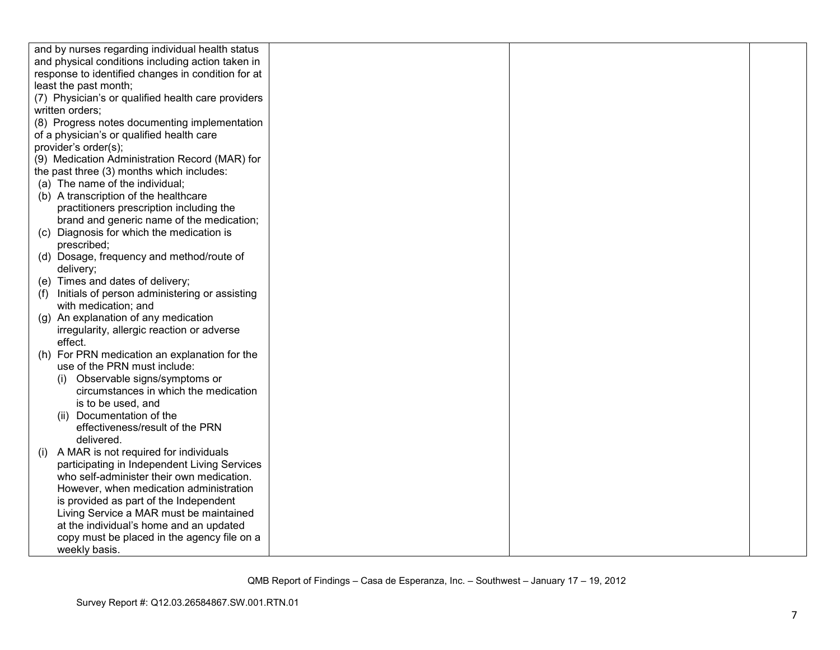| and by nurses regarding individual health status     |  |  |
|------------------------------------------------------|--|--|
| and physical conditions including action taken in    |  |  |
| response to identified changes in condition for at   |  |  |
| least the past month;                                |  |  |
| (7) Physician's or qualified health care providers   |  |  |
| written orders;                                      |  |  |
| (8) Progress notes documenting implementation        |  |  |
| of a physician's or qualified health care            |  |  |
| provider's order(s);                                 |  |  |
| (9) Medication Administration Record (MAR) for       |  |  |
| the past three (3) months which includes:            |  |  |
| (a) The name of the individual;                      |  |  |
| (b) A transcription of the healthcare                |  |  |
| practitioners prescription including the             |  |  |
| brand and generic name of the medication;            |  |  |
| (c) Diagnosis for which the medication is            |  |  |
| prescribed;                                          |  |  |
| (d) Dosage, frequency and method/route of            |  |  |
| delivery;                                            |  |  |
| (e) Times and dates of delivery;                     |  |  |
| Initials of person administering or assisting<br>(f) |  |  |
| with medication; and                                 |  |  |
| (g) An explanation of any medication                 |  |  |
| irregularity, allergic reaction or adverse           |  |  |
| effect.                                              |  |  |
| For PRN medication an explanation for the<br>(h)     |  |  |
| use of the PRN must include:                         |  |  |
| Observable signs/symptoms or                         |  |  |
| circumstances in which the medication                |  |  |
| is to be used, and                                   |  |  |
| (ii) Documentation of the                            |  |  |
| effectiveness/result of the PRN                      |  |  |
| delivered.                                           |  |  |
| A MAR is not required for individuals<br>(1)         |  |  |
| participating in Independent Living Services         |  |  |
| who self-administer their own medication.            |  |  |
| However, when medication administration              |  |  |
| is provided as part of the Independent               |  |  |
| Living Service a MAR must be maintained              |  |  |
| at the individual's home and an updated              |  |  |
| copy must be placed in the agency file on a          |  |  |
| weekly basis.                                        |  |  |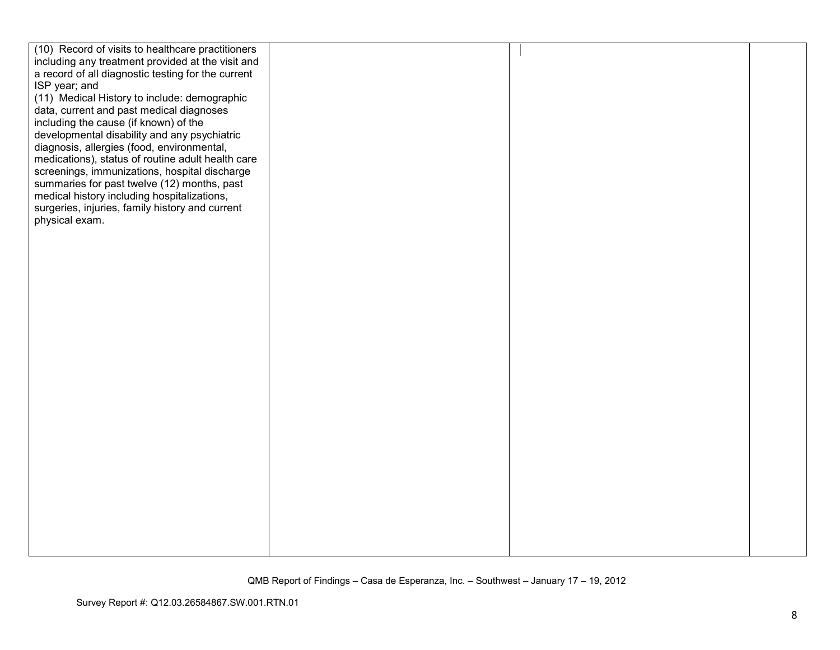| (10) Record of visits to healthcare practitioners<br>including any treatment provided at the visit and |  |
|--------------------------------------------------------------------------------------------------------|--|
|                                                                                                        |  |
| a record of all diagnostic testing for the current                                                     |  |
| ISP year; and                                                                                          |  |
| (11) Medical History to include: demographic                                                           |  |
| data, current and past medical diagnoses                                                               |  |
| including the cause (if known) of the                                                                  |  |
| developmental disability and any psychiatric                                                           |  |
| diagnosis, allergies (food, environmental,                                                             |  |
| medications), status of routine adult health care                                                      |  |
| screenings, immunizations, hospital discharge                                                          |  |
| summaries for past twelve (12) months, past                                                            |  |
| medical history including hospitalizations,                                                            |  |
| surgeries, injuries, family history and current                                                        |  |
| physical exam.                                                                                         |  |
|                                                                                                        |  |
|                                                                                                        |  |
|                                                                                                        |  |
|                                                                                                        |  |
|                                                                                                        |  |
|                                                                                                        |  |
|                                                                                                        |  |
|                                                                                                        |  |
|                                                                                                        |  |
|                                                                                                        |  |
|                                                                                                        |  |
|                                                                                                        |  |
|                                                                                                        |  |
|                                                                                                        |  |
|                                                                                                        |  |
|                                                                                                        |  |
|                                                                                                        |  |
|                                                                                                        |  |
|                                                                                                        |  |
|                                                                                                        |  |
|                                                                                                        |  |
|                                                                                                        |  |
|                                                                                                        |  |
|                                                                                                        |  |
|                                                                                                        |  |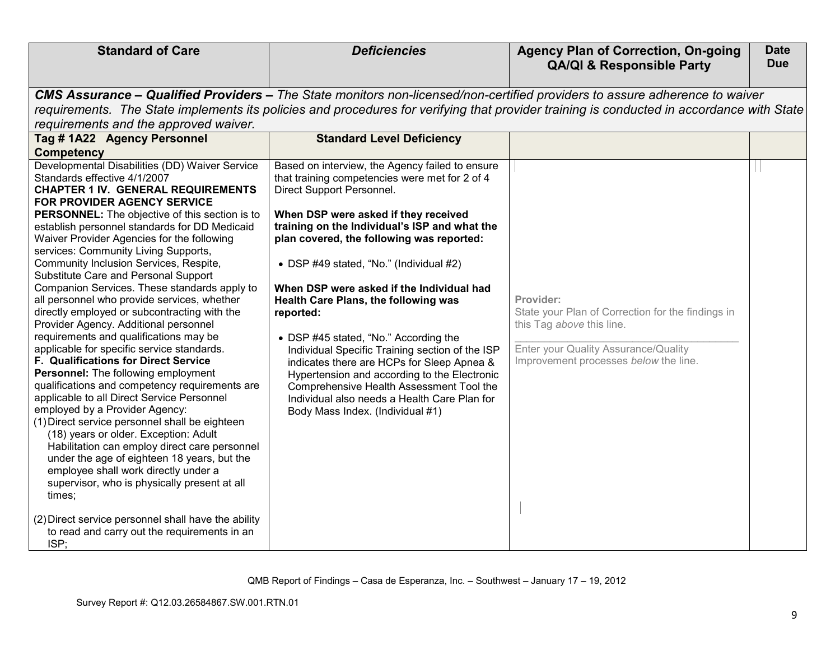| <b>Standard of Care</b>                                                                     | <b>Deficiencies</b>                                                                                                                       | <b>Agency Plan of Correction, On-going</b><br><b>QA/QI &amp; Responsible Party</b> | <b>Date</b><br><b>Due</b> |
|---------------------------------------------------------------------------------------------|-------------------------------------------------------------------------------------------------------------------------------------------|------------------------------------------------------------------------------------|---------------------------|
|                                                                                             |                                                                                                                                           |                                                                                    |                           |
|                                                                                             | CMS Assurance – Qualified Providers – The State monitors non-licensed/non-certified providers to assure adherence to waiver               |                                                                                    |                           |
|                                                                                             | requirements. The State implements its policies and procedures for verifying that provider training is conducted in accordance with State |                                                                                    |                           |
| requirements and the approved waiver.                                                       |                                                                                                                                           |                                                                                    |                           |
| Tag #1A22 Agency Personnel                                                                  | <b>Standard Level Deficiency</b>                                                                                                          |                                                                                    |                           |
| <b>Competency</b>                                                                           |                                                                                                                                           |                                                                                    |                           |
| Developmental Disabilities (DD) Waiver Service                                              | Based on interview, the Agency failed to ensure                                                                                           |                                                                                    |                           |
| Standards effective 4/1/2007                                                                | that training competencies were met for 2 of 4                                                                                            |                                                                                    |                           |
| <b>CHAPTER 1 IV. GENERAL REQUIREMENTS</b><br><b>FOR PROVIDER AGENCY SERVICE</b>             | Direct Support Personnel.                                                                                                                 |                                                                                    |                           |
| <b>PERSONNEL:</b> The objective of this section is to                                       | When DSP were asked if they received                                                                                                      |                                                                                    |                           |
| establish personnel standards for DD Medicaid                                               | training on the Individual's ISP and what the                                                                                             |                                                                                    |                           |
| Waiver Provider Agencies for the following                                                  | plan covered, the following was reported:                                                                                                 |                                                                                    |                           |
| services: Community Living Supports,                                                        |                                                                                                                                           |                                                                                    |                           |
| Community Inclusion Services, Respite,                                                      | • DSP #49 stated, "No." (Individual #2)                                                                                                   |                                                                                    |                           |
| Substitute Care and Personal Support                                                        |                                                                                                                                           |                                                                                    |                           |
| Companion Services. These standards apply to<br>all personnel who provide services, whether | When DSP were asked if the Individual had                                                                                                 | Provider:                                                                          |                           |
| directly employed or subcontracting with the                                                | <b>Health Care Plans, the following was</b><br>reported:                                                                                  | State your Plan of Correction for the findings in                                  |                           |
| Provider Agency. Additional personnel                                                       |                                                                                                                                           | this Tag above this line.                                                          |                           |
| requirements and qualifications may be                                                      | • DSP #45 stated, "No." According the                                                                                                     |                                                                                    |                           |
| applicable for specific service standards.                                                  | Individual Specific Training section of the ISP                                                                                           | Enter your Quality Assurance/Quality                                               |                           |
| F. Qualifications for Direct Service                                                        | indicates there are HCPs for Sleep Apnea &                                                                                                | Improvement processes below the line.                                              |                           |
| Personnel: The following employment                                                         | Hypertension and according to the Electronic                                                                                              |                                                                                    |                           |
| qualifications and competency requirements are                                              | Comprehensive Health Assessment Tool the                                                                                                  |                                                                                    |                           |
| applicable to all Direct Service Personnel                                                  | Individual also needs a Health Care Plan for                                                                                              |                                                                                    |                           |
| employed by a Provider Agency:<br>(1) Direct service personnel shall be eighteen            | Body Mass Index. (Individual #1)                                                                                                          |                                                                                    |                           |
| (18) years or older. Exception: Adult                                                       |                                                                                                                                           |                                                                                    |                           |
| Habilitation can employ direct care personnel                                               |                                                                                                                                           |                                                                                    |                           |
| under the age of eighteen 18 years, but the                                                 |                                                                                                                                           |                                                                                    |                           |
| employee shall work directly under a                                                        |                                                                                                                                           |                                                                                    |                           |
| supervisor, who is physically present at all                                                |                                                                                                                                           |                                                                                    |                           |
| times:                                                                                      |                                                                                                                                           |                                                                                    |                           |
| (2) Direct service personnel shall have the ability                                         |                                                                                                                                           |                                                                                    |                           |
| to read and carry out the requirements in an                                                |                                                                                                                                           |                                                                                    |                           |
| ISP;                                                                                        |                                                                                                                                           |                                                                                    |                           |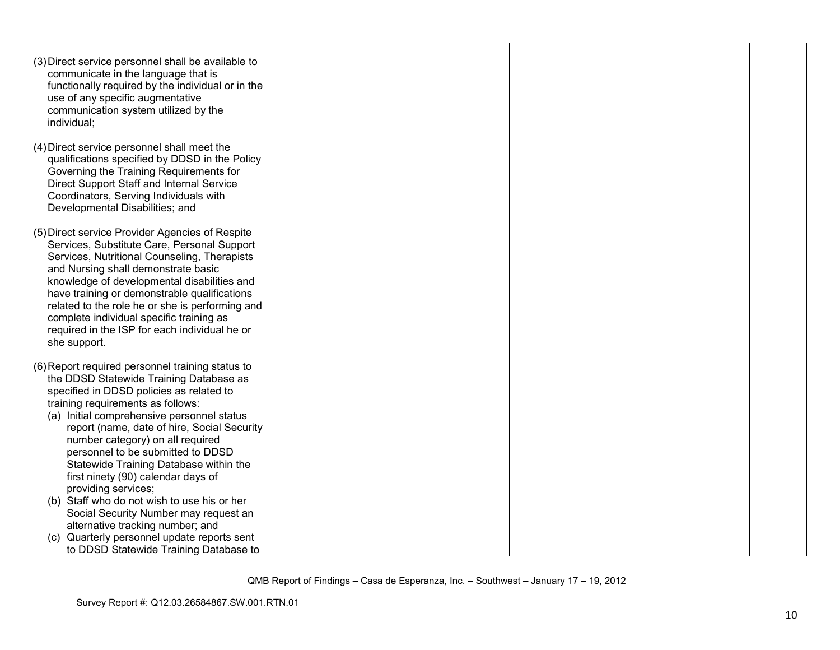| (3) Direct service personnel shall be available to<br>communicate in the language that is<br>functionally required by the individual or in the<br>use of any specific augmentative<br>communication system utilized by the<br>individual;                                                                                                                                                                                                                                                                                                                                                                                                                                         |  |  |
|-----------------------------------------------------------------------------------------------------------------------------------------------------------------------------------------------------------------------------------------------------------------------------------------------------------------------------------------------------------------------------------------------------------------------------------------------------------------------------------------------------------------------------------------------------------------------------------------------------------------------------------------------------------------------------------|--|--|
| (4) Direct service personnel shall meet the<br>qualifications specified by DDSD in the Policy<br>Governing the Training Requirements for<br>Direct Support Staff and Internal Service<br>Coordinators, Serving Individuals with<br>Developmental Disabilities; and                                                                                                                                                                                                                                                                                                                                                                                                                |  |  |
| (5) Direct service Provider Agencies of Respite<br>Services, Substitute Care, Personal Support<br>Services, Nutritional Counseling, Therapists<br>and Nursing shall demonstrate basic<br>knowledge of developmental disabilities and<br>have training or demonstrable qualifications<br>related to the role he or she is performing and<br>complete individual specific training as<br>required in the ISP for each individual he or<br>she support.                                                                                                                                                                                                                              |  |  |
| (6) Report required personnel training status to<br>the DDSD Statewide Training Database as<br>specified in DDSD policies as related to<br>training requirements as follows:<br>(a) Initial comprehensive personnel status<br>report (name, date of hire, Social Security<br>number category) on all required<br>personnel to be submitted to DDSD<br>Statewide Training Database within the<br>first ninety (90) calendar days of<br>providing services;<br>(b) Staff who do not wish to use his or her<br>Social Security Number may request an<br>alternative tracking number; and<br>Quarterly personnel update reports sent<br>(C)<br>to DDSD Statewide Training Database to |  |  |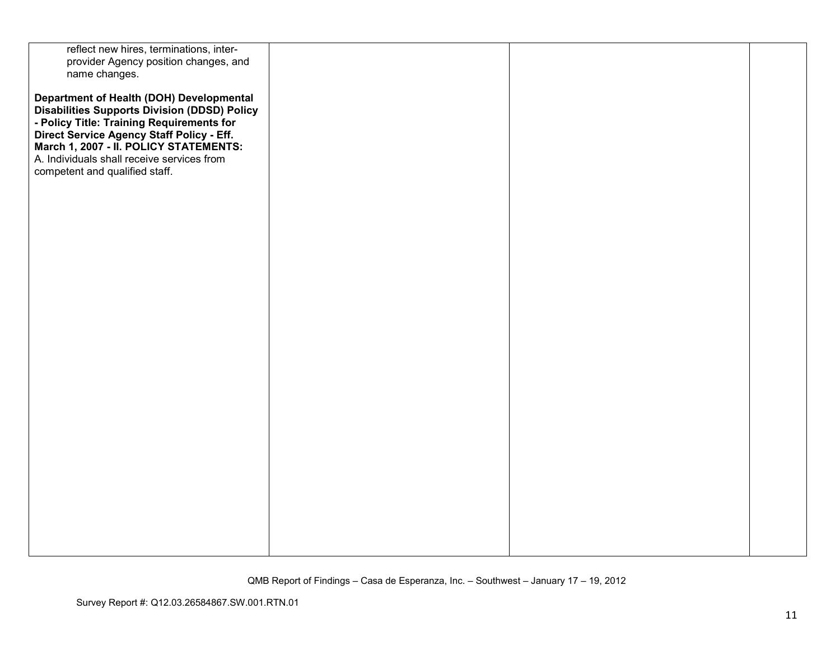| reflect new hires, terminations, inter-             |  |  |
|-----------------------------------------------------|--|--|
| provider Agency position changes, and               |  |  |
| name changes.                                       |  |  |
|                                                     |  |  |
| Department of Health (DOH) Developmental            |  |  |
| <b>Disabilities Supports Division (DDSD) Policy</b> |  |  |
| - Policy Title: Training Requirements for           |  |  |
| Direct Service Agency Staff Policy - Eff.           |  |  |
| March 1, 2007 - II. POLICY STATEMENTS:              |  |  |
|                                                     |  |  |
| A. Individuals shall receive services from          |  |  |
| competent and qualified staff.                      |  |  |
|                                                     |  |  |
|                                                     |  |  |
|                                                     |  |  |
|                                                     |  |  |
|                                                     |  |  |
|                                                     |  |  |
|                                                     |  |  |
|                                                     |  |  |
|                                                     |  |  |
|                                                     |  |  |
|                                                     |  |  |
|                                                     |  |  |
|                                                     |  |  |
|                                                     |  |  |
|                                                     |  |  |
|                                                     |  |  |
|                                                     |  |  |
|                                                     |  |  |
|                                                     |  |  |
|                                                     |  |  |
|                                                     |  |  |
|                                                     |  |  |
|                                                     |  |  |
|                                                     |  |  |
|                                                     |  |  |
|                                                     |  |  |
|                                                     |  |  |
|                                                     |  |  |
|                                                     |  |  |
|                                                     |  |  |
|                                                     |  |  |
|                                                     |  |  |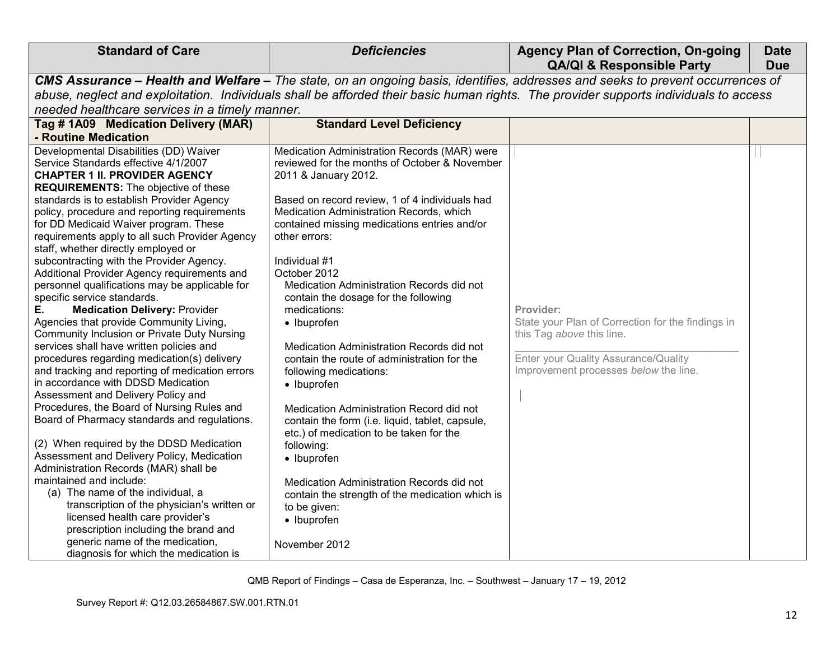| <b>Standard of Care</b>                                                                                                                                                                                                                                                                                                                                                                                                                                                                                                                                                                                                                                                                                                                                                                                                                                                                                                                                                                                                                                                                                                                                                                                                                                                                                                                                                                                                                                          | <b>Deficiencies</b>                                                                                                                                                                                                                                                                                                                                                                                                                                                                                                                                                                                                                                                                                                                                                                                                                                                                                   | <b>Agency Plan of Correction, On-going</b><br><b>QA/QI &amp; Responsible Party</b>                                                                                           | <b>Date</b><br><b>Due</b> |
|------------------------------------------------------------------------------------------------------------------------------------------------------------------------------------------------------------------------------------------------------------------------------------------------------------------------------------------------------------------------------------------------------------------------------------------------------------------------------------------------------------------------------------------------------------------------------------------------------------------------------------------------------------------------------------------------------------------------------------------------------------------------------------------------------------------------------------------------------------------------------------------------------------------------------------------------------------------------------------------------------------------------------------------------------------------------------------------------------------------------------------------------------------------------------------------------------------------------------------------------------------------------------------------------------------------------------------------------------------------------------------------------------------------------------------------------------------------|-------------------------------------------------------------------------------------------------------------------------------------------------------------------------------------------------------------------------------------------------------------------------------------------------------------------------------------------------------------------------------------------------------------------------------------------------------------------------------------------------------------------------------------------------------------------------------------------------------------------------------------------------------------------------------------------------------------------------------------------------------------------------------------------------------------------------------------------------------------------------------------------------------|------------------------------------------------------------------------------------------------------------------------------------------------------------------------------|---------------------------|
|                                                                                                                                                                                                                                                                                                                                                                                                                                                                                                                                                                                                                                                                                                                                                                                                                                                                                                                                                                                                                                                                                                                                                                                                                                                                                                                                                                                                                                                                  | CMS Assurance - Health and Welfare - The state, on an ongoing basis, identifies, addresses and seeks to prevent occurrences of                                                                                                                                                                                                                                                                                                                                                                                                                                                                                                                                                                                                                                                                                                                                                                        |                                                                                                                                                                              |                           |
| abuse, neglect and exploitation. Individuals shall be afforded their basic human rights. The provider supports individuals to access                                                                                                                                                                                                                                                                                                                                                                                                                                                                                                                                                                                                                                                                                                                                                                                                                                                                                                                                                                                                                                                                                                                                                                                                                                                                                                                             |                                                                                                                                                                                                                                                                                                                                                                                                                                                                                                                                                                                                                                                                                                                                                                                                                                                                                                       |                                                                                                                                                                              |                           |
| needed healthcare services in a timely manner.                                                                                                                                                                                                                                                                                                                                                                                                                                                                                                                                                                                                                                                                                                                                                                                                                                                                                                                                                                                                                                                                                                                                                                                                                                                                                                                                                                                                                   |                                                                                                                                                                                                                                                                                                                                                                                                                                                                                                                                                                                                                                                                                                                                                                                                                                                                                                       |                                                                                                                                                                              |                           |
| Tag # 1A09 Medication Delivery (MAR)                                                                                                                                                                                                                                                                                                                                                                                                                                                                                                                                                                                                                                                                                                                                                                                                                                                                                                                                                                                                                                                                                                                                                                                                                                                                                                                                                                                                                             | <b>Standard Level Deficiency</b>                                                                                                                                                                                                                                                                                                                                                                                                                                                                                                                                                                                                                                                                                                                                                                                                                                                                      |                                                                                                                                                                              |                           |
| - Routine Medication                                                                                                                                                                                                                                                                                                                                                                                                                                                                                                                                                                                                                                                                                                                                                                                                                                                                                                                                                                                                                                                                                                                                                                                                                                                                                                                                                                                                                                             |                                                                                                                                                                                                                                                                                                                                                                                                                                                                                                                                                                                                                                                                                                                                                                                                                                                                                                       |                                                                                                                                                                              |                           |
| Developmental Disabilities (DD) Waiver<br>Service Standards effective 4/1/2007<br><b>CHAPTER 1 II. PROVIDER AGENCY</b><br><b>REQUIREMENTS:</b> The objective of these<br>standards is to establish Provider Agency<br>policy, procedure and reporting requirements<br>for DD Medicaid Waiver program. These<br>requirements apply to all such Provider Agency<br>staff, whether directly employed or<br>subcontracting with the Provider Agency.<br>Additional Provider Agency requirements and<br>personnel qualifications may be applicable for<br>specific service standards.<br>Е.<br><b>Medication Delivery: Provider</b><br>Agencies that provide Community Living,<br><b>Community Inclusion or Private Duty Nursing</b><br>services shall have written policies and<br>procedures regarding medication(s) delivery<br>and tracking and reporting of medication errors<br>in accordance with DDSD Medication<br>Assessment and Delivery Policy and<br>Procedures, the Board of Nursing Rules and<br>Board of Pharmacy standards and regulations.<br>(2) When required by the DDSD Medication<br>Assessment and Delivery Policy, Medication<br>Administration Records (MAR) shall be<br>maintained and include:<br>(a) The name of the individual, a<br>transcription of the physician's written or<br>licensed health care provider's<br>prescription including the brand and<br>generic name of the medication,<br>diagnosis for which the medication is | Medication Administration Records (MAR) were<br>reviewed for the months of October & November<br>2011 & January 2012.<br>Based on record review, 1 of 4 individuals had<br>Medication Administration Records, which<br>contained missing medications entries and/or<br>other errors:<br>Individual #1<br>October 2012<br>Medication Administration Records did not<br>contain the dosage for the following<br>medications:<br>• Ibuprofen<br>Medication Administration Records did not<br>contain the route of administration for the<br>following medications:<br>• Ibuprofen<br>Medication Administration Record did not<br>contain the form (i.e. liquid, tablet, capsule,<br>etc.) of medication to be taken for the<br>following:<br>• Ibuprofen<br>Medication Administration Records did not<br>contain the strength of the medication which is<br>to be given:<br>• Ibuprofen<br>November 2012 | Provider:<br>State your Plan of Correction for the findings in<br>this Tag above this line.<br>Enter your Quality Assurance/Quality<br>Improvement processes below the line. |                           |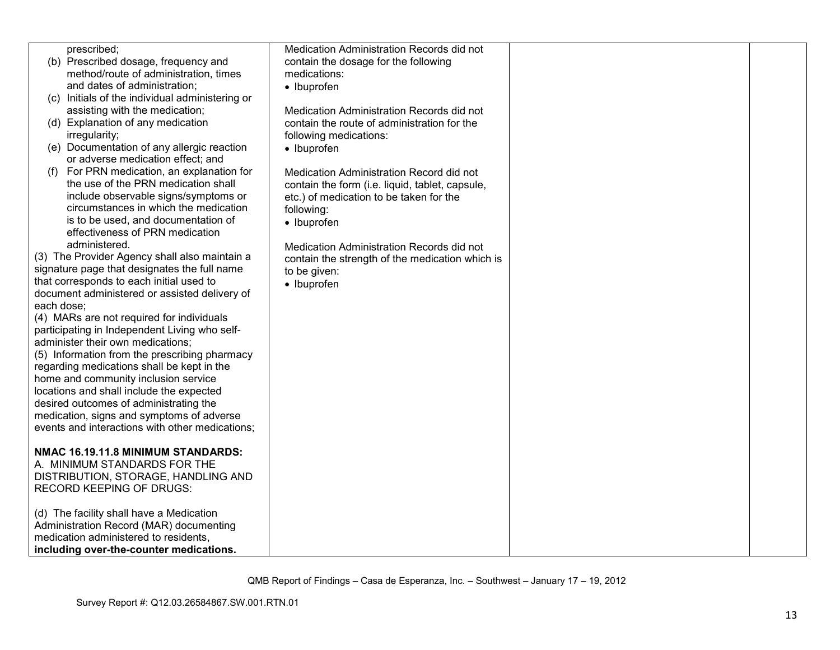| prescribed;                                     | Medication Administration Records did not       |  |
|-------------------------------------------------|-------------------------------------------------|--|
| (b) Prescribed dosage, frequency and            | contain the dosage for the following            |  |
| method/route of administration, times           | medications:                                    |  |
| and dates of administration;                    | • Ibuprofen                                     |  |
| (c) Initials of the individual administering or |                                                 |  |
| assisting with the medication;                  | Medication Administration Records did not       |  |
| (d) Explanation of any medication               | contain the route of administration for the     |  |
| irregularity;                                   | following medications:                          |  |
| (e) Documentation of any allergic reaction      | • Ibuprofen                                     |  |
| or adverse medication effect; and               |                                                 |  |
| (f) For PRN medication, an explanation for      | Medication Administration Record did not        |  |
| the use of the PRN medication shall             | contain the form (i.e. liquid, tablet, capsule, |  |
| include observable signs/symptoms or            | etc.) of medication to be taken for the         |  |
| circumstances in which the medication           | following:                                      |  |
| is to be used, and documentation of             | • Ibuprofen                                     |  |
| effectiveness of PRN medication                 |                                                 |  |
| administered.                                   | Medication Administration Records did not       |  |
| (3) The Provider Agency shall also maintain a   | contain the strength of the medication which is |  |
| signature page that designates the full name    | to be given:                                    |  |
| that corresponds to each initial used to        | • Ibuprofen                                     |  |
| document administered or assisted delivery of   |                                                 |  |
| each dose;                                      |                                                 |  |
| (4) MARs are not required for individuals       |                                                 |  |
| participating in Independent Living who self-   |                                                 |  |
| administer their own medications;               |                                                 |  |
| (5) Information from the prescribing pharmacy   |                                                 |  |
| regarding medications shall be kept in the      |                                                 |  |
| home and community inclusion service            |                                                 |  |
| locations and shall include the expected        |                                                 |  |
| desired outcomes of administrating the          |                                                 |  |
| medication, signs and symptoms of adverse       |                                                 |  |
| events and interactions with other medications; |                                                 |  |
|                                                 |                                                 |  |
| NMAC 16.19.11.8 MINIMUM STANDARDS:              |                                                 |  |
| A. MINIMUM STANDARDS FOR THE                    |                                                 |  |
| DISTRIBUTION, STORAGE, HANDLING AND             |                                                 |  |
| RECORD KEEPING OF DRUGS:                        |                                                 |  |
|                                                 |                                                 |  |
| (d) The facility shall have a Medication        |                                                 |  |
| Administration Record (MAR) documenting         |                                                 |  |
| medication administered to residents,           |                                                 |  |
| including over-the-counter medications.         |                                                 |  |
|                                                 |                                                 |  |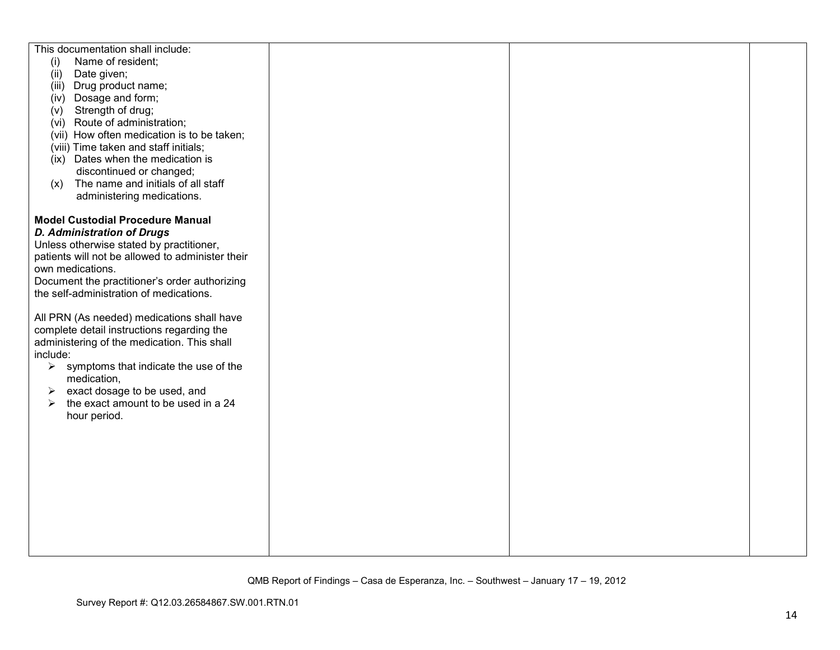| This documentation shall include:                      |  |  |
|--------------------------------------------------------|--|--|
|                                                        |  |  |
| Name of resident;<br>(i)                               |  |  |
| (ii)<br>Date given;                                    |  |  |
| (iii) Drug product name;                               |  |  |
| (iv) Dosage and form;                                  |  |  |
| Strength of drug;<br>(v)                               |  |  |
| (vi) Route of administration;                          |  |  |
| (vii) How often medication is to be taken;             |  |  |
| (viii) Time taken and staff initials;                  |  |  |
| Dates when the medication is<br>(ix)                   |  |  |
| discontinued or changed;                               |  |  |
|                                                        |  |  |
| The name and initials of all staff<br>(x)              |  |  |
| administering medications.                             |  |  |
|                                                        |  |  |
| <b>Model Custodial Procedure Manual</b>                |  |  |
| <b>D. Administration of Drugs</b>                      |  |  |
| Unless otherwise stated by practitioner,               |  |  |
| patients will not be allowed to administer their       |  |  |
| own medications.                                       |  |  |
| Document the practitioner's order authorizing          |  |  |
| the self-administration of medications.                |  |  |
|                                                        |  |  |
| All PRN (As needed) medications shall have             |  |  |
|                                                        |  |  |
| complete detail instructions regarding the             |  |  |
| administering of the medication. This shall            |  |  |
| include:                                               |  |  |
| $\triangleright$ symptoms that indicate the use of the |  |  |
| medication,                                            |  |  |
| exact dosage to be used, and<br>➤                      |  |  |
| the exact amount to be used in a 24<br>➤               |  |  |
| hour period.                                           |  |  |
|                                                        |  |  |
|                                                        |  |  |
|                                                        |  |  |
|                                                        |  |  |
|                                                        |  |  |
|                                                        |  |  |
|                                                        |  |  |
|                                                        |  |  |
|                                                        |  |  |
|                                                        |  |  |
|                                                        |  |  |
|                                                        |  |  |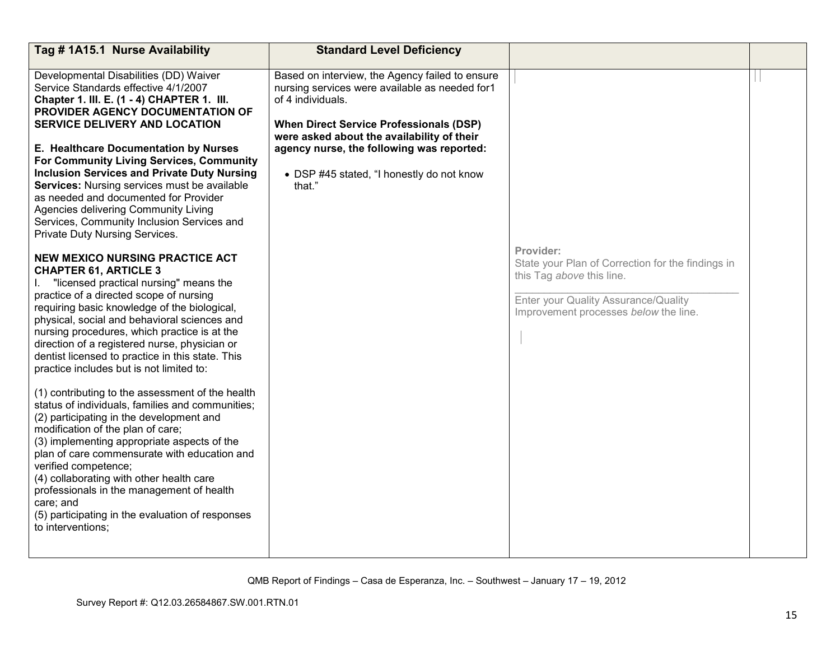| Tag # 1A15.1 Nurse Availability                                                                                                                                                                                                                                                                                                                                                                                                                                                                                                                                             | <b>Standard Level Deficiency</b>                                                                                                                                                                                                                                                                                           |                                                                                                                                                                              |  |
|-----------------------------------------------------------------------------------------------------------------------------------------------------------------------------------------------------------------------------------------------------------------------------------------------------------------------------------------------------------------------------------------------------------------------------------------------------------------------------------------------------------------------------------------------------------------------------|----------------------------------------------------------------------------------------------------------------------------------------------------------------------------------------------------------------------------------------------------------------------------------------------------------------------------|------------------------------------------------------------------------------------------------------------------------------------------------------------------------------|--|
| Developmental Disabilities (DD) Waiver<br>Service Standards effective 4/1/2007<br>Chapter 1. III. E. (1 - 4) CHAPTER 1. III.<br>PROVIDER AGENCY DOCUMENTATION OF<br><b>SERVICE DELIVERY AND LOCATION</b><br>E. Healthcare Documentation by Nurses<br>For Community Living Services, Community<br><b>Inclusion Services and Private Duty Nursing</b><br><b>Services:</b> Nursing services must be available<br>as needed and documented for Provider<br>Agencies delivering Community Living<br>Services, Community Inclusion Services and<br>Private Duty Nursing Services. | Based on interview, the Agency failed to ensure<br>nursing services were available as needed for1<br>of 4 individuals.<br><b>When Direct Service Professionals (DSP)</b><br>were asked about the availability of their<br>agency nurse, the following was reported:<br>• DSP #45 stated, "I honestly do not know<br>that." |                                                                                                                                                                              |  |
| NEW MEXICO NURSING PRACTICE ACT<br><b>CHAPTER 61, ARTICLE 3</b><br>"licensed practical nursing" means the<br>practice of a directed scope of nursing<br>requiring basic knowledge of the biological,<br>physical, social and behavioral sciences and<br>nursing procedures, which practice is at the<br>direction of a registered nurse, physician or<br>dentist licensed to practice in this state. This<br>practice includes but is not limited to:                                                                                                                       |                                                                                                                                                                                                                                                                                                                            | Provider:<br>State your Plan of Correction for the findings in<br>this Tag above this line.<br>Enter your Quality Assurance/Quality<br>Improvement processes below the line. |  |
| (1) contributing to the assessment of the health<br>status of individuals, families and communities;<br>(2) participating in the development and<br>modification of the plan of care;<br>(3) implementing appropriate aspects of the<br>plan of care commensurate with education and<br>verified competence;<br>(4) collaborating with other health care<br>professionals in the management of health<br>care; and<br>(5) participating in the evaluation of responses<br>to interventions;                                                                                 |                                                                                                                                                                                                                                                                                                                            |                                                                                                                                                                              |  |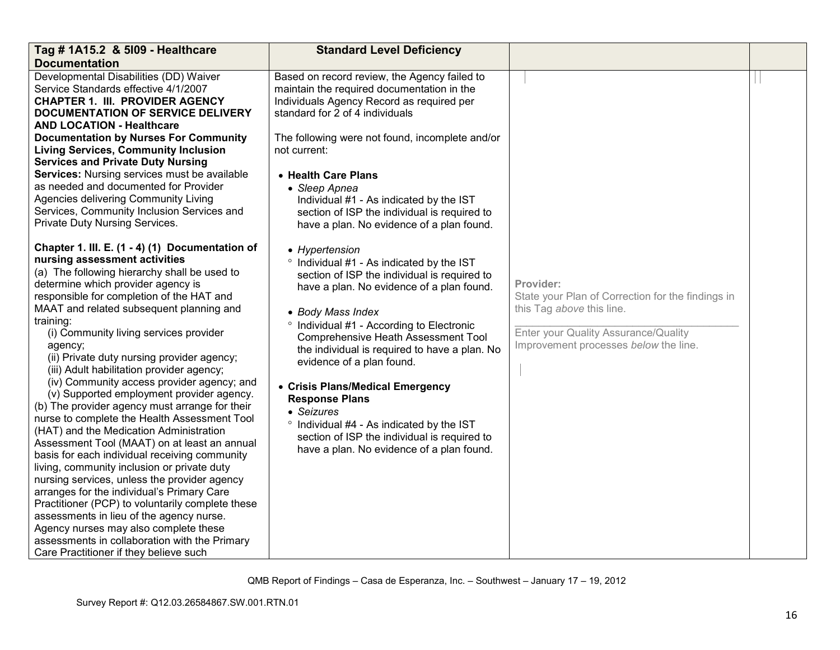| Tag # 1A15.2 & 5109 - Healthcare                                                                                                                                                                                                                                                                                                                                                                                                                                                                                                                                                                                                                                                                                                                                                                                                                                                                                                                                                                                                                                                                                                                       | <b>Standard Level Deficiency</b>                                                                                                                                                                                                                                                                                                                                                                                                                                                                                                                                     |                                                                                                                                                                              |  |
|--------------------------------------------------------------------------------------------------------------------------------------------------------------------------------------------------------------------------------------------------------------------------------------------------------------------------------------------------------------------------------------------------------------------------------------------------------------------------------------------------------------------------------------------------------------------------------------------------------------------------------------------------------------------------------------------------------------------------------------------------------------------------------------------------------------------------------------------------------------------------------------------------------------------------------------------------------------------------------------------------------------------------------------------------------------------------------------------------------------------------------------------------------|----------------------------------------------------------------------------------------------------------------------------------------------------------------------------------------------------------------------------------------------------------------------------------------------------------------------------------------------------------------------------------------------------------------------------------------------------------------------------------------------------------------------------------------------------------------------|------------------------------------------------------------------------------------------------------------------------------------------------------------------------------|--|
| <b>Documentation</b>                                                                                                                                                                                                                                                                                                                                                                                                                                                                                                                                                                                                                                                                                                                                                                                                                                                                                                                                                                                                                                                                                                                                   |                                                                                                                                                                                                                                                                                                                                                                                                                                                                                                                                                                      |                                                                                                                                                                              |  |
| Developmental Disabilities (DD) Waiver<br>Service Standards effective 4/1/2007<br><b>CHAPTER 1. III. PROVIDER AGENCY</b><br>DOCUMENTATION OF SERVICE DELIVERY<br><b>AND LOCATION - Healthcare</b><br><b>Documentation by Nurses For Community</b><br><b>Living Services, Community Inclusion</b><br><b>Services and Private Duty Nursing</b><br>Services: Nursing services must be available<br>as needed and documented for Provider<br>Agencies delivering Community Living<br>Services, Community Inclusion Services and<br>Private Duty Nursing Services.                                                                                                                                                                                                                                                                                                                                                                                                                                                                                                                                                                                          | Based on record review, the Agency failed to<br>maintain the required documentation in the<br>Individuals Agency Record as required per<br>standard for 2 of 4 individuals<br>The following were not found, incomplete and/or<br>not current:<br>• Health Care Plans<br>• Sleep Apnea<br>Individual #1 - As indicated by the IST<br>section of ISP the individual is required to<br>have a plan. No evidence of a plan found.                                                                                                                                        |                                                                                                                                                                              |  |
| Chapter 1. III. E. (1 - 4) (1) Documentation of<br>nursing assessment activities<br>(a) The following hierarchy shall be used to<br>determine which provider agency is<br>responsible for completion of the HAT and<br>MAAT and related subsequent planning and<br>training:<br>(i) Community living services provider<br>agency;<br>(ii) Private duty nursing provider agency;<br>(iii) Adult habilitation provider agency;<br>(iv) Community access provider agency; and<br>(v) Supported employment provider agency.<br>(b) The provider agency must arrange for their<br>nurse to complete the Health Assessment Tool<br>(HAT) and the Medication Administration<br>Assessment Tool (MAAT) on at least an annual<br>basis for each individual receiving community<br>living, community inclusion or private duty<br>nursing services, unless the provider agency<br>arranges for the individual's Primary Care<br>Practitioner (PCP) to voluntarily complete these<br>assessments in lieu of the agency nurse.<br>Agency nurses may also complete these<br>assessments in collaboration with the Primary<br>Care Practitioner if they believe such | • Hypertension<br>° Individual #1 - As indicated by the IST<br>section of ISP the individual is required to<br>have a plan. No evidence of a plan found.<br>• Body Mass Index<br>° Individual #1 - According to Electronic<br>Comprehensive Heath Assessment Tool<br>the individual is required to have a plan. No<br>evidence of a plan found.<br>• Crisis Plans/Medical Emergency<br><b>Response Plans</b><br>• Seizures<br>° Individual #4 - As indicated by the IST<br>section of ISP the individual is required to<br>have a plan. No evidence of a plan found. | Provider:<br>State your Plan of Correction for the findings in<br>this Tag above this line.<br>Enter your Quality Assurance/Quality<br>Improvement processes below the line. |  |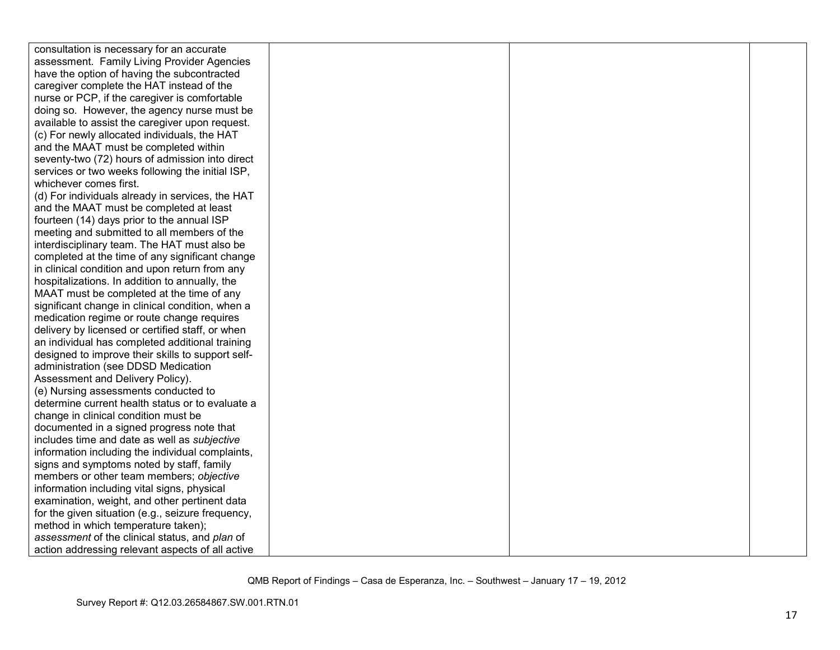| consultation is necessary for an accurate         |  |  |
|---------------------------------------------------|--|--|
| assessment. Family Living Provider Agencies       |  |  |
| have the option of having the subcontracted       |  |  |
| caregiver complete the HAT instead of the         |  |  |
| nurse or PCP, if the caregiver is comfortable     |  |  |
| doing so. However, the agency nurse must be       |  |  |
| available to assist the caregiver upon request.   |  |  |
| (c) For newly allocated individuals, the HAT      |  |  |
| and the MAAT must be completed within             |  |  |
| seventy-two (72) hours of admission into direct   |  |  |
| services or two weeks following the initial ISP,  |  |  |
| whichever comes first.                            |  |  |
| (d) For individuals already in services, the HAT  |  |  |
| and the MAAT must be completed at least           |  |  |
| fourteen (14) days prior to the annual ISP        |  |  |
| meeting and submitted to all members of the       |  |  |
| interdisciplinary team. The HAT must also be      |  |  |
| completed at the time of any significant change   |  |  |
| in clinical condition and upon return from any    |  |  |
| hospitalizations. In addition to annually, the    |  |  |
| MAAT must be completed at the time of any         |  |  |
| significant change in clinical condition, when a  |  |  |
| medication regime or route change requires        |  |  |
| delivery by licensed or certified staff, or when  |  |  |
| an individual has completed additional training   |  |  |
| designed to improve their skills to support self- |  |  |
| administration (see DDSD Medication               |  |  |
| Assessment and Delivery Policy).                  |  |  |
| (e) Nursing assessments conducted to              |  |  |
| determine current health status or to evaluate a  |  |  |
| change in clinical condition must be              |  |  |
| documented in a signed progress note that         |  |  |
| includes time and date as well as subjective      |  |  |
| information including the individual complaints,  |  |  |
| signs and symptoms noted by staff, family         |  |  |
| members or other team members; objective          |  |  |
| information including vital signs, physical       |  |  |
| examination, weight, and other pertinent data     |  |  |
| for the given situation (e.g., seizure frequency, |  |  |
| method in which temperature taken);               |  |  |
| assessment of the clinical status, and plan of    |  |  |
| action addressing relevant aspects of all active  |  |  |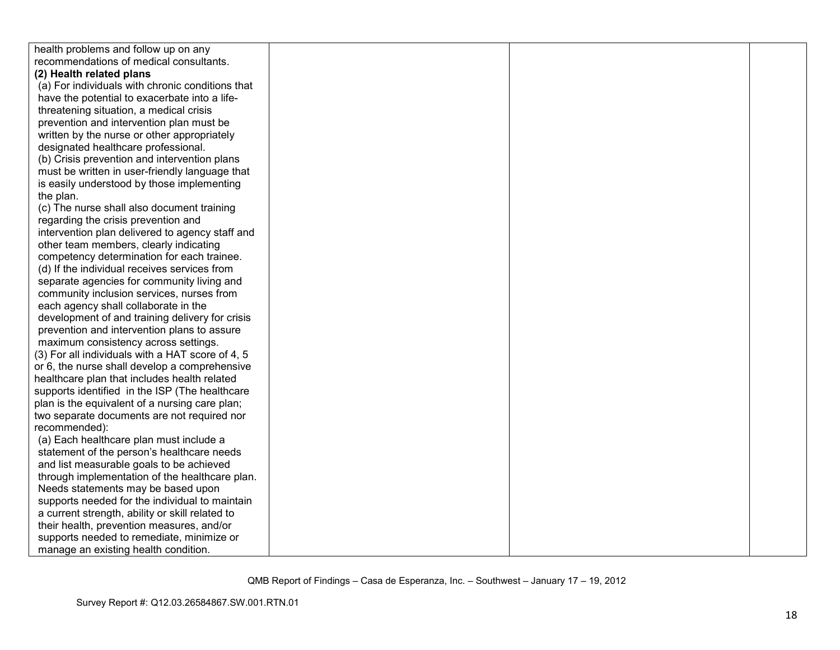| health problems and follow up on any             |  |  |
|--------------------------------------------------|--|--|
| recommendations of medical consultants.          |  |  |
| (2) Health related plans                         |  |  |
| (a) For individuals with chronic conditions that |  |  |
| have the potential to exacerbate into a life-    |  |  |
| threatening situation, a medical crisis          |  |  |
| prevention and intervention plan must be         |  |  |
| written by the nurse or other appropriately      |  |  |
| designated healthcare professional.              |  |  |
| (b) Crisis prevention and intervention plans     |  |  |
| must be written in user-friendly language that   |  |  |
| is easily understood by those implementing       |  |  |
| the plan.                                        |  |  |
| (c) The nurse shall also document training       |  |  |
| regarding the crisis prevention and              |  |  |
| intervention plan delivered to agency staff and  |  |  |
| other team members, clearly indicating           |  |  |
| competency determination for each trainee.       |  |  |
| (d) If the individual receives services from     |  |  |
| separate agencies for community living and       |  |  |
| community inclusion services, nurses from        |  |  |
| each agency shall collaborate in the             |  |  |
| development of and training delivery for crisis  |  |  |
| prevention and intervention plans to assure      |  |  |
| maximum consistency across settings.             |  |  |
| (3) For all individuals with a HAT score of 4, 5 |  |  |
| or 6, the nurse shall develop a comprehensive    |  |  |
| healthcare plan that includes health related     |  |  |
| supports identified in the ISP (The healthcare   |  |  |
| plan is the equivalent of a nursing care plan;   |  |  |
| two separate documents are not required nor      |  |  |
| recommended):                                    |  |  |
| (a) Each healthcare plan must include a          |  |  |
| statement of the person's healthcare needs       |  |  |
| and list measurable goals to be achieved         |  |  |
| through implementation of the healthcare plan.   |  |  |
| Needs statements may be based upon               |  |  |
| supports needed for the individual to maintain   |  |  |
| a current strength, ability or skill related to  |  |  |
| their health, prevention measures, and/or        |  |  |
| supports needed to remediate, minimize or        |  |  |
| manage an existing health condition.             |  |  |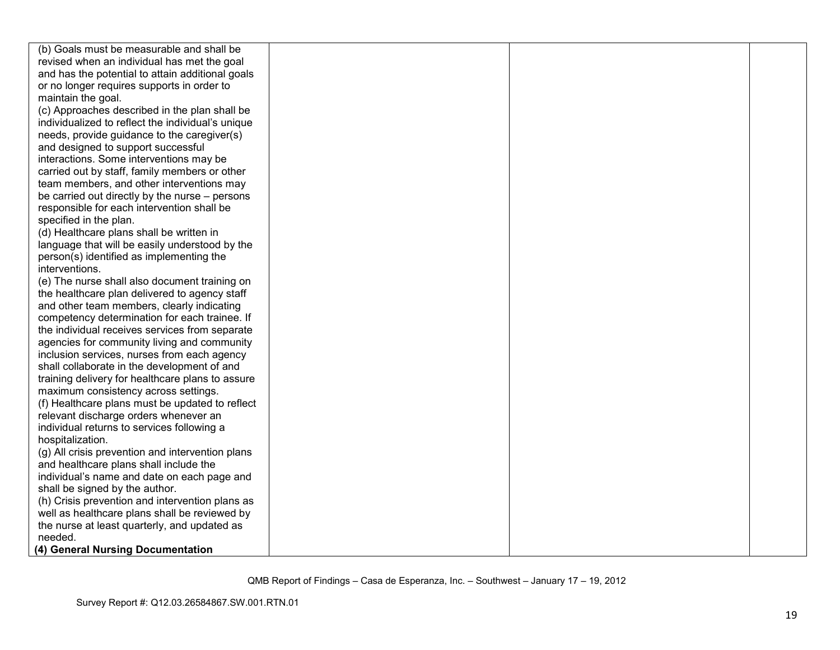| (b) Goals must be measurable and shall be         |  |  |
|---------------------------------------------------|--|--|
| revised when an individual has met the goal       |  |  |
| and has the potential to attain additional goals  |  |  |
| or no longer requires supports in order to        |  |  |
| maintain the goal.                                |  |  |
| (c) Approaches described in the plan shall be     |  |  |
| individualized to reflect the individual's unique |  |  |
| needs, provide guidance to the caregiver(s)       |  |  |
| and designed to support successful                |  |  |
| interactions. Some interventions may be           |  |  |
| carried out by staff, family members or other     |  |  |
| team members, and other interventions may         |  |  |
| be carried out directly by the nurse – persons    |  |  |
| responsible for each intervention shall be        |  |  |
| specified in the plan.                            |  |  |
| (d) Healthcare plans shall be written in          |  |  |
| language that will be easily understood by the    |  |  |
| person(s) identified as implementing the          |  |  |
| interventions.                                    |  |  |
| (e) The nurse shall also document training on     |  |  |
| the healthcare plan delivered to agency staff     |  |  |
| and other team members, clearly indicating        |  |  |
| competency determination for each trainee. If     |  |  |
| the individual receives services from separate    |  |  |
| agencies for community living and community       |  |  |
| inclusion services, nurses from each agency       |  |  |
| shall collaborate in the development of and       |  |  |
| training delivery for healthcare plans to assure  |  |  |
| maximum consistency across settings.              |  |  |
| (f) Healthcare plans must be updated to reflect   |  |  |
| relevant discharge orders whenever an             |  |  |
| individual returns to services following a        |  |  |
| hospitalization.                                  |  |  |
| (g) All crisis prevention and intervention plans  |  |  |
| and healthcare plans shall include the            |  |  |
| individual's name and date on each page and       |  |  |
| shall be signed by the author.                    |  |  |
| (h) Crisis prevention and intervention plans as   |  |  |
| well as healthcare plans shall be reviewed by     |  |  |
| the nurse at least quarterly, and updated as      |  |  |
| needed.                                           |  |  |
| (4) General Nursing Documentation                 |  |  |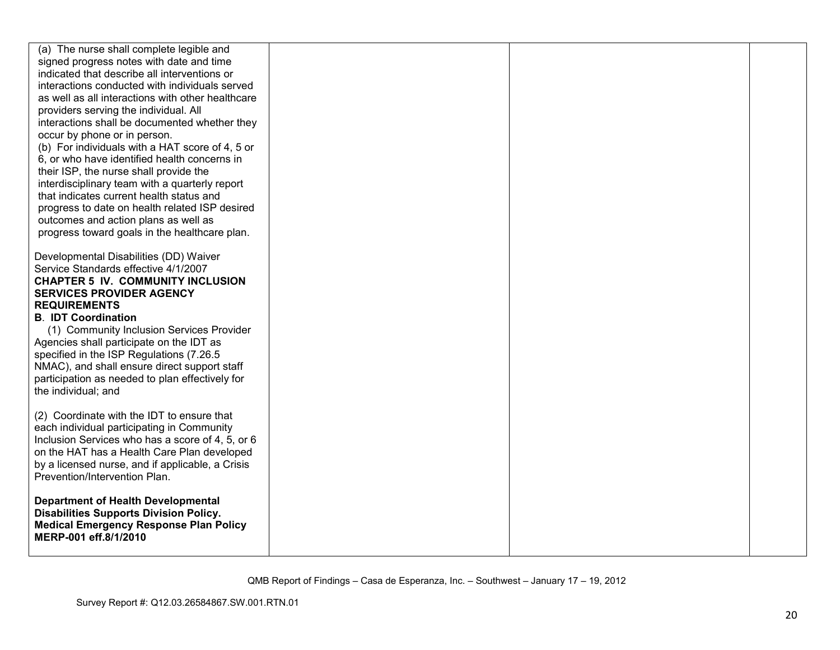| (a) The nurse shall complete legible and<br>signed progress notes with date and time<br>indicated that describe all interventions or<br>interactions conducted with individuals served<br>as well as all interactions with other healthcare<br>providers serving the individual. All<br>interactions shall be documented whether they<br>occur by phone or in person.<br>(b) For individuals with a HAT score of 4, 5 or<br>6, or who have identified health concerns in<br>their ISP, the nurse shall provide the<br>interdisciplinary team with a quarterly report<br>that indicates current health status and<br>progress to date on health related ISP desired<br>outcomes and action plans as well as<br>progress toward goals in the healthcare plan. |  |  |
|-------------------------------------------------------------------------------------------------------------------------------------------------------------------------------------------------------------------------------------------------------------------------------------------------------------------------------------------------------------------------------------------------------------------------------------------------------------------------------------------------------------------------------------------------------------------------------------------------------------------------------------------------------------------------------------------------------------------------------------------------------------|--|--|
| Developmental Disabilities (DD) Waiver<br>Service Standards effective 4/1/2007<br><b>CHAPTER 5 IV. COMMUNITY INCLUSION</b><br><b>SERVICES PROVIDER AGENCY</b><br><b>REQUIREMENTS</b><br><b>B. IDT Coordination</b><br>(1) Community Inclusion Services Provider<br>Agencies shall participate on the IDT as<br>specified in the ISP Regulations (7.26.5)<br>NMAC), and shall ensure direct support staff<br>participation as needed to plan effectively for<br>the individual; and                                                                                                                                                                                                                                                                          |  |  |
| (2) Coordinate with the IDT to ensure that<br>each individual participating in Community<br>Inclusion Services who has a score of 4, 5, or 6<br>on the HAT has a Health Care Plan developed<br>by a licensed nurse, and if applicable, a Crisis<br>Prevention/Intervention Plan.                                                                                                                                                                                                                                                                                                                                                                                                                                                                            |  |  |
| <b>Department of Health Developmental</b><br><b>Disabilities Supports Division Policy.</b><br><b>Medical Emergency Response Plan Policy</b><br>MERP-001 eff.8/1/2010                                                                                                                                                                                                                                                                                                                                                                                                                                                                                                                                                                                        |  |  |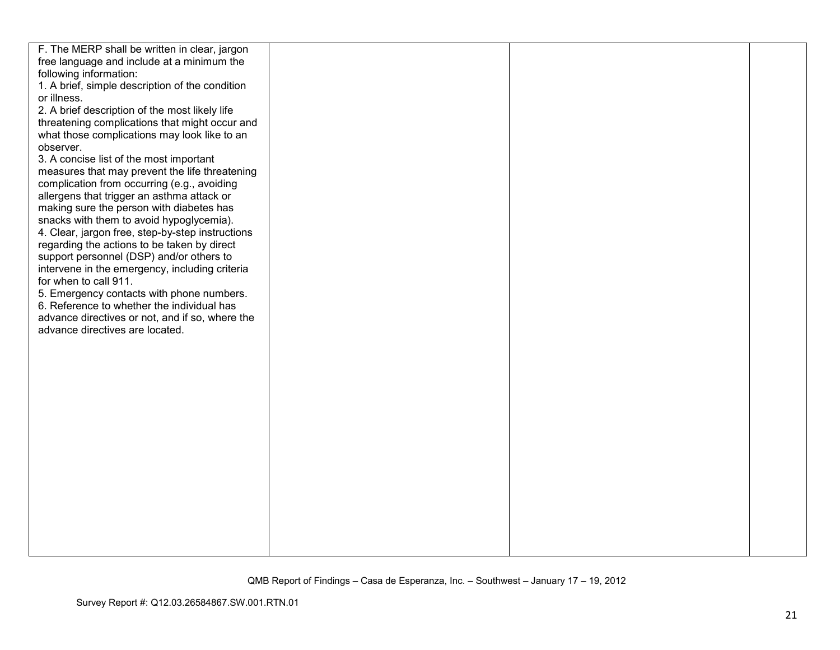| F. The MERP shall be written in clear, jargon    |  |  |
|--------------------------------------------------|--|--|
| free language and include at a minimum the       |  |  |
| following information:                           |  |  |
| 1. A brief, simple description of the condition  |  |  |
| or illness.                                      |  |  |
| 2. A brief description of the most likely life   |  |  |
| threatening complications that might occur and   |  |  |
| what those complications may look like to an     |  |  |
| observer.                                        |  |  |
| 3. A concise list of the most important          |  |  |
| measures that may prevent the life threatening   |  |  |
| complication from occurring (e.g., avoiding      |  |  |
| allergens that trigger an asthma attack or       |  |  |
| making sure the person with diabetes has         |  |  |
| snacks with them to avoid hypoglycemia).         |  |  |
| 4. Clear, jargon free, step-by-step instructions |  |  |
| regarding the actions to be taken by direct      |  |  |
| support personnel (DSP) and/or others to         |  |  |
| intervene in the emergency, including criteria   |  |  |
| for when to call 911.                            |  |  |
| 5. Emergency contacts with phone numbers.        |  |  |
| 6. Reference to whether the individual has       |  |  |
| advance directives or not, and if so, where the  |  |  |
| advance directives are located.                  |  |  |
|                                                  |  |  |
|                                                  |  |  |
|                                                  |  |  |
|                                                  |  |  |
|                                                  |  |  |
|                                                  |  |  |
|                                                  |  |  |
|                                                  |  |  |
|                                                  |  |  |
|                                                  |  |  |
|                                                  |  |  |
|                                                  |  |  |
|                                                  |  |  |
|                                                  |  |  |
|                                                  |  |  |
|                                                  |  |  |
|                                                  |  |  |
|                                                  |  |  |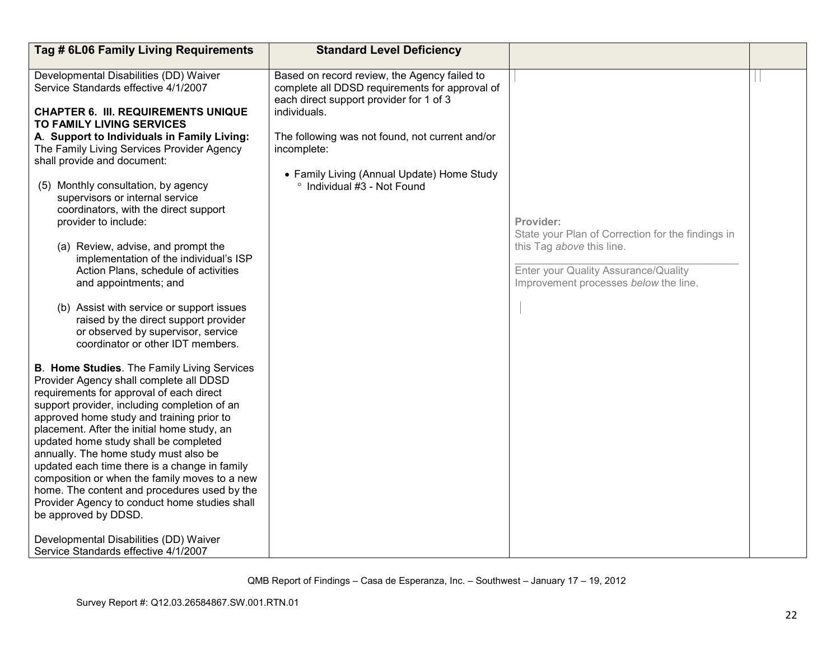| Tag # 6L06 Family Living Requirements                                                                                                                                                                                                                                                                                                                                                                                                                                                                                                                                                                                                                                                                                                              | <b>Standard Level Deficiency</b>                                                                                                                                                                                                                                                                         |                                                                                                                                                                              |  |
|----------------------------------------------------------------------------------------------------------------------------------------------------------------------------------------------------------------------------------------------------------------------------------------------------------------------------------------------------------------------------------------------------------------------------------------------------------------------------------------------------------------------------------------------------------------------------------------------------------------------------------------------------------------------------------------------------------------------------------------------------|----------------------------------------------------------------------------------------------------------------------------------------------------------------------------------------------------------------------------------------------------------------------------------------------------------|------------------------------------------------------------------------------------------------------------------------------------------------------------------------------|--|
| Developmental Disabilities (DD) Waiver<br>Service Standards effective 4/1/2007<br><b>CHAPTER 6. III. REQUIREMENTS UNIQUE</b><br>TO FAMILY LIVING SERVICES<br>A. Support to Individuals in Family Living:<br>The Family Living Services Provider Agency<br>shall provide and document:<br>(5) Monthly consultation, by agency<br>supervisors or internal service<br>coordinators, with the direct support<br>provider to include:<br>(a) Review, advise, and prompt the<br>implementation of the individual's ISP<br>Action Plans, schedule of activities<br>and appointments; and<br>(b) Assist with service or support issues<br>raised by the direct support provider<br>or observed by supervisor, service<br>coordinator or other IDT members. | Based on record review, the Agency failed to<br>complete all DDSD requirements for approval of<br>each direct support provider for 1 of 3<br>individuals.<br>The following was not found, not current and/or<br>incomplete:<br>• Family Living (Annual Update) Home Study<br>° Individual #3 - Not Found | Provider:<br>State your Plan of Correction for the findings in<br>this Tag above this line.<br>Enter your Quality Assurance/Quality<br>Improvement processes below the line. |  |
| B. Home Studies. The Family Living Services<br>Provider Agency shall complete all DDSD<br>requirements for approval of each direct<br>support provider, including completion of an<br>approved home study and training prior to<br>placement. After the initial home study, an<br>updated home study shall be completed<br>annually. The home study must also be<br>updated each time there is a change in family<br>composition or when the family moves to a new<br>home. The content and procedures used by the<br>Provider Agency to conduct home studies shall<br>be approved by DDSD.<br>Developmental Disabilities (DD) Waiver<br>Service Standards effective 4/1/2007                                                                      |                                                                                                                                                                                                                                                                                                          |                                                                                                                                                                              |  |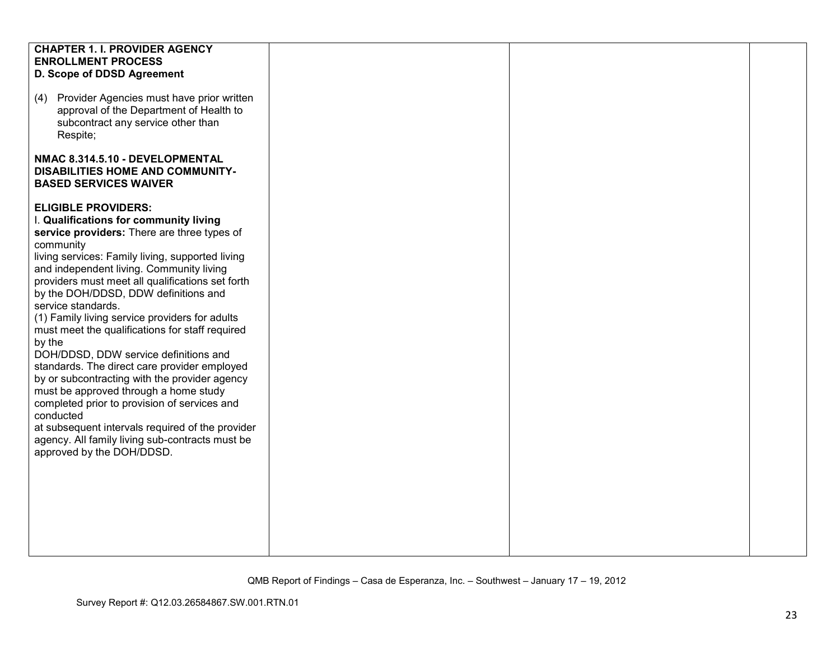| <b>CHAPTER 1. I. PROVIDER AGENCY</b>             |  |  |
|--------------------------------------------------|--|--|
|                                                  |  |  |
| <b>ENROLLMENT PROCESS</b>                        |  |  |
| D. Scope of DDSD Agreement                       |  |  |
|                                                  |  |  |
| Provider Agencies must have prior written<br>(4) |  |  |
|                                                  |  |  |
| approval of the Department of Health to          |  |  |
| subcontract any service other than               |  |  |
| Respite;                                         |  |  |
|                                                  |  |  |
|                                                  |  |  |
| NMAC 8.314.5.10 - DEVELOPMENTAL                  |  |  |
| DISABILITIES HOME AND COMMUNITY-                 |  |  |
| <b>BASED SERVICES WAIVER</b>                     |  |  |
|                                                  |  |  |
| <b>ELIGIBLE PROVIDERS:</b>                       |  |  |
|                                                  |  |  |
| I. Qualifications for community living           |  |  |
| service providers: There are three types of      |  |  |
| community                                        |  |  |
| living services: Family living, supported living |  |  |
| and independent living. Community living         |  |  |
| providers must meet all qualifications set forth |  |  |
|                                                  |  |  |
| by the DOH/DDSD, DDW definitions and             |  |  |
| service standards.                               |  |  |
| (1) Family living service providers for adults   |  |  |
| must meet the qualifications for staff required  |  |  |
| by the                                           |  |  |
| DOH/DDSD, DDW service definitions and            |  |  |
|                                                  |  |  |
| standards. The direct care provider employed     |  |  |
| by or subcontracting with the provider agency    |  |  |
| must be approved through a home study            |  |  |
| completed prior to provision of services and     |  |  |
| conducted                                        |  |  |
| at subsequent intervals required of the provider |  |  |
|                                                  |  |  |
| agency. All family living sub-contracts must be  |  |  |
| approved by the DOH/DDSD.                        |  |  |
|                                                  |  |  |
|                                                  |  |  |
|                                                  |  |  |
|                                                  |  |  |
|                                                  |  |  |
|                                                  |  |  |
|                                                  |  |  |
|                                                  |  |  |
|                                                  |  |  |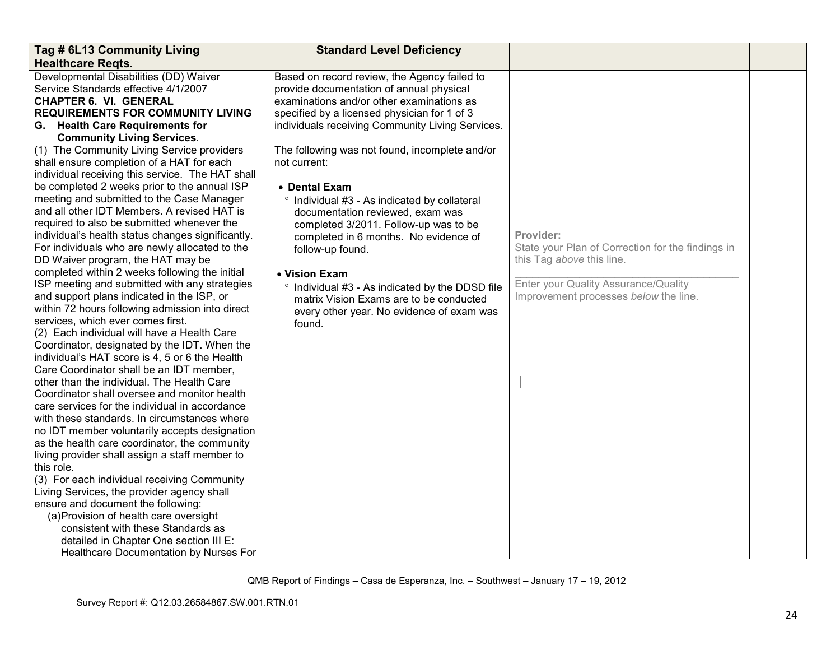| Tag # 6L13 Community Living                                                                   | <b>Standard Level Deficiency</b>                 |                                                   |  |
|-----------------------------------------------------------------------------------------------|--------------------------------------------------|---------------------------------------------------|--|
| <b>Healthcare Regts.</b>                                                                      |                                                  |                                                   |  |
| Developmental Disabilities (DD) Waiver                                                        | Based on record review, the Agency failed to     |                                                   |  |
| Service Standards effective 4/1/2007                                                          | provide documentation of annual physical         |                                                   |  |
| <b>CHAPTER 6. VI. GENERAL</b>                                                                 | examinations and/or other examinations as        |                                                   |  |
| <b>REQUIREMENTS FOR COMMUNITY LIVING</b>                                                      | specified by a licensed physician for 1 of 3     |                                                   |  |
| G. Health Care Requirements for                                                               | individuals receiving Community Living Services. |                                                   |  |
| <b>Community Living Services.</b>                                                             |                                                  |                                                   |  |
| (1) The Community Living Service providers                                                    | The following was not found, incomplete and/or   |                                                   |  |
| shall ensure completion of a HAT for each                                                     | not current:                                     |                                                   |  |
| individual receiving this service. The HAT shall                                              |                                                  |                                                   |  |
| be completed 2 weeks prior to the annual ISP                                                  | • Dental Exam                                    |                                                   |  |
| meeting and submitted to the Case Manager                                                     | ° Individual #3 - As indicated by collateral     |                                                   |  |
| and all other IDT Members. A revised HAT is                                                   | documentation reviewed, exam was                 |                                                   |  |
| required to also be submitted whenever the                                                    | completed 3/2011. Follow-up was to be            |                                                   |  |
| individual's health status changes significantly.                                             | completed in 6 months. No evidence of            | Provider:                                         |  |
| For individuals who are newly allocated to the                                                | follow-up found.                                 | State your Plan of Correction for the findings in |  |
| DD Waiver program, the HAT may be                                                             |                                                  | this Tag above this line.                         |  |
| completed within 2 weeks following the initial                                                | • Vision Exam                                    |                                                   |  |
| ISP meeting and submitted with any strategies                                                 | ° Individual #3 - As indicated by the DDSD file  | Enter your Quality Assurance/Quality              |  |
| and support plans indicated in the ISP, or                                                    | matrix Vision Exams are to be conducted          | Improvement processes below the line.             |  |
| within 72 hours following admission into direct                                               | every other year. No evidence of exam was        |                                                   |  |
| services, which ever comes first.                                                             | found.                                           |                                                   |  |
| (2) Each individual will have a Health Care                                                   |                                                  |                                                   |  |
| Coordinator, designated by the IDT. When the                                                  |                                                  |                                                   |  |
| individual's HAT score is 4, 5 or 6 the Health                                                |                                                  |                                                   |  |
| Care Coordinator shall be an IDT member,                                                      |                                                  |                                                   |  |
| other than the individual. The Health Care                                                    |                                                  |                                                   |  |
| Coordinator shall oversee and monitor health                                                  |                                                  |                                                   |  |
| care services for the individual in accordance                                                |                                                  |                                                   |  |
| with these standards. In circumstances where<br>no IDT member voluntarily accepts designation |                                                  |                                                   |  |
| as the health care coordinator, the community                                                 |                                                  |                                                   |  |
| living provider shall assign a staff member to                                                |                                                  |                                                   |  |
| this role.                                                                                    |                                                  |                                                   |  |
| (3) For each individual receiving Community                                                   |                                                  |                                                   |  |
| Living Services, the provider agency shall                                                    |                                                  |                                                   |  |
| ensure and document the following:                                                            |                                                  |                                                   |  |
| (a) Provision of health care oversight                                                        |                                                  |                                                   |  |
| consistent with these Standards as                                                            |                                                  |                                                   |  |
| detailed in Chapter One section III E:                                                        |                                                  |                                                   |  |
| Healthcare Documentation by Nurses For                                                        |                                                  |                                                   |  |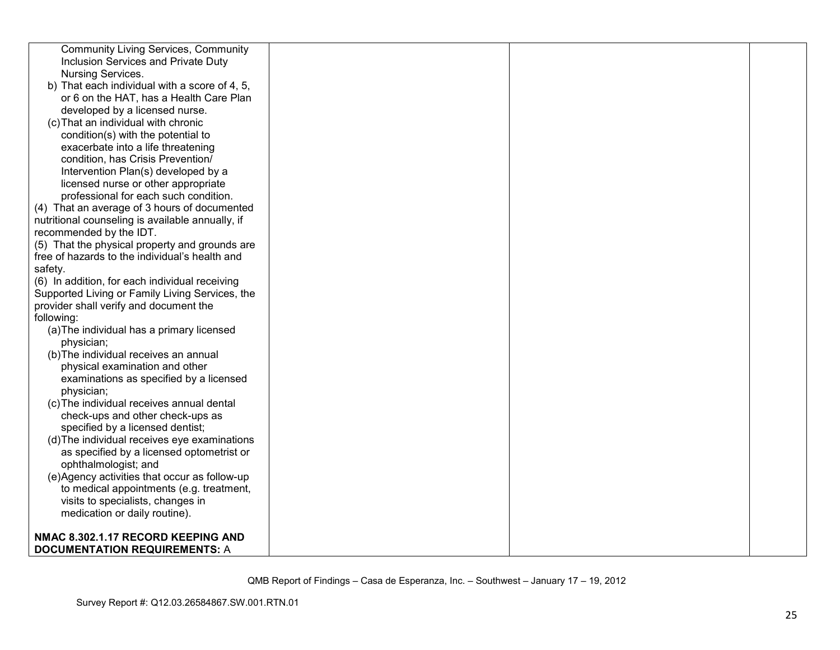| <b>Community Living Services, Community</b>      |  |  |
|--------------------------------------------------|--|--|
| Inclusion Services and Private Duty              |  |  |
| Nursing Services.                                |  |  |
| b) That each individual with a score of 4, 5,    |  |  |
| or 6 on the HAT, has a Health Care Plan          |  |  |
| developed by a licensed nurse.                   |  |  |
| (c) That an individual with chronic              |  |  |
| condition(s) with the potential to               |  |  |
| exacerbate into a life threatening               |  |  |
| condition, has Crisis Prevention/                |  |  |
| Intervention Plan(s) developed by a              |  |  |
| licensed nurse or other appropriate              |  |  |
| professional for each such condition.            |  |  |
| (4) That an average of 3 hours of documented     |  |  |
| nutritional counseling is available annually, if |  |  |
| recommended by the IDT.                          |  |  |
| (5) That the physical property and grounds are   |  |  |
| free of hazards to the individual's health and   |  |  |
| safety.                                          |  |  |
| (6) In addition, for each individual receiving   |  |  |
| Supported Living or Family Living Services, the  |  |  |
| provider shall verify and document the           |  |  |
| following:                                       |  |  |
| (a) The individual has a primary licensed        |  |  |
| physician;                                       |  |  |
| (b) The individual receives an annual            |  |  |
| physical examination and other                   |  |  |
| examinations as specified by a licensed          |  |  |
| physician;                                       |  |  |
| (c) The individual receives annual dental        |  |  |
| check-ups and other check-ups as                 |  |  |
| specified by a licensed dentist;                 |  |  |
| (d) The individual receives eye examinations     |  |  |
| as specified by a licensed optometrist or        |  |  |
| ophthalmologist; and                             |  |  |
| (e)Agency activities that occur as follow-up     |  |  |
| to medical appointments (e.g. treatment,         |  |  |
| visits to specialists, changes in                |  |  |
| medication or daily routine).                    |  |  |
|                                                  |  |  |
| NMAC 8.302.1.17 RECORD KEEPING AND               |  |  |
| <b>DOCUMENTATION REQUIREMENTS: A</b>             |  |  |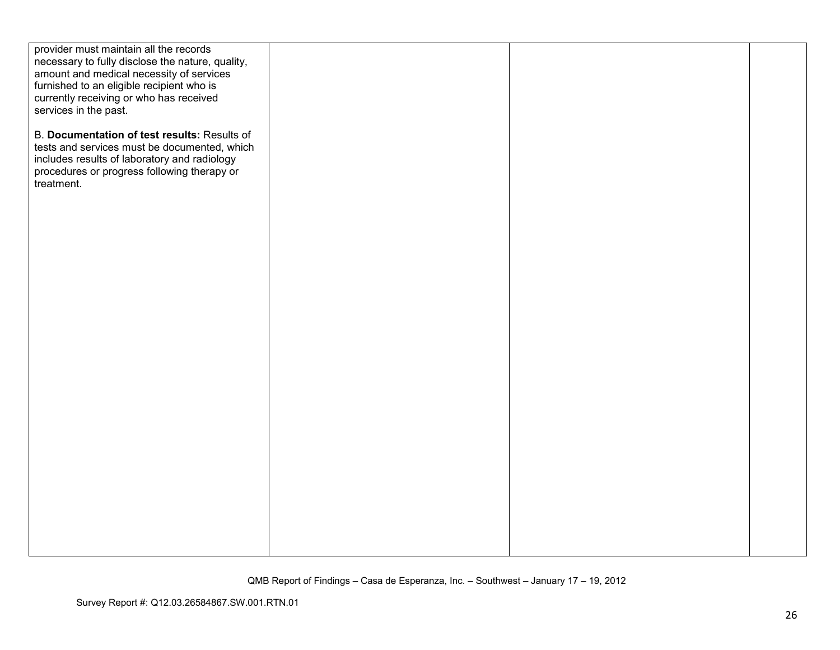| provider must maintain all the records<br>necessary to fully disclose the nature, quality,  |  |  |
|---------------------------------------------------------------------------------------------|--|--|
| amount and medical necessity of services                                                    |  |  |
| furnished to an eligible recipient who is                                                   |  |  |
| currently receiving or who has received                                                     |  |  |
| services in the past.                                                                       |  |  |
| B. Documentation of test results: Results of                                                |  |  |
| tests and services must be documented, which                                                |  |  |
| includes results of laboratory and radiology<br>procedures or progress following therapy or |  |  |
| treatment.                                                                                  |  |  |
|                                                                                             |  |  |
|                                                                                             |  |  |
|                                                                                             |  |  |
|                                                                                             |  |  |
|                                                                                             |  |  |
|                                                                                             |  |  |
|                                                                                             |  |  |
|                                                                                             |  |  |
|                                                                                             |  |  |
|                                                                                             |  |  |
|                                                                                             |  |  |
|                                                                                             |  |  |
|                                                                                             |  |  |
|                                                                                             |  |  |
|                                                                                             |  |  |
|                                                                                             |  |  |
|                                                                                             |  |  |
|                                                                                             |  |  |
|                                                                                             |  |  |
|                                                                                             |  |  |
|                                                                                             |  |  |
|                                                                                             |  |  |
|                                                                                             |  |  |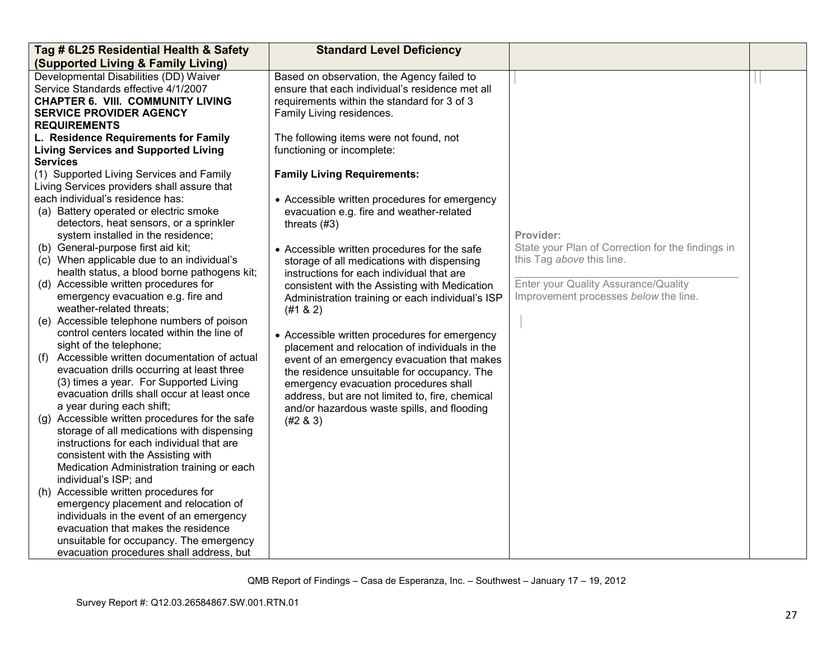| Tag # 6L25 Residential Health & Safety                                                                                                                                                                                                                                                                                                                                                                                                                                                                                                                                                                                                                                                                                                                                                                                                                                                                                                                                                                                                                                                                                                                                                                                                                                                                                                                                                                               | <b>Standard Level Deficiency</b>                                                                                                                                                                                                                                                                                                                                                                                                                                                                                                                                                                                                                                                                                                                                                                                                               |                                                                                                                                                                              |  |
|----------------------------------------------------------------------------------------------------------------------------------------------------------------------------------------------------------------------------------------------------------------------------------------------------------------------------------------------------------------------------------------------------------------------------------------------------------------------------------------------------------------------------------------------------------------------------------------------------------------------------------------------------------------------------------------------------------------------------------------------------------------------------------------------------------------------------------------------------------------------------------------------------------------------------------------------------------------------------------------------------------------------------------------------------------------------------------------------------------------------------------------------------------------------------------------------------------------------------------------------------------------------------------------------------------------------------------------------------------------------------------------------------------------------|------------------------------------------------------------------------------------------------------------------------------------------------------------------------------------------------------------------------------------------------------------------------------------------------------------------------------------------------------------------------------------------------------------------------------------------------------------------------------------------------------------------------------------------------------------------------------------------------------------------------------------------------------------------------------------------------------------------------------------------------------------------------------------------------------------------------------------------------|------------------------------------------------------------------------------------------------------------------------------------------------------------------------------|--|
| (Supported Living & Family Living)                                                                                                                                                                                                                                                                                                                                                                                                                                                                                                                                                                                                                                                                                                                                                                                                                                                                                                                                                                                                                                                                                                                                                                                                                                                                                                                                                                                   |                                                                                                                                                                                                                                                                                                                                                                                                                                                                                                                                                                                                                                                                                                                                                                                                                                                |                                                                                                                                                                              |  |
| Developmental Disabilities (DD) Waiver<br>Service Standards effective 4/1/2007<br><b>CHAPTER 6. VIII. COMMUNITY LIVING</b><br><b>SERVICE PROVIDER AGENCY</b>                                                                                                                                                                                                                                                                                                                                                                                                                                                                                                                                                                                                                                                                                                                                                                                                                                                                                                                                                                                                                                                                                                                                                                                                                                                         | Based on observation, the Agency failed to<br>ensure that each individual's residence met all<br>requirements within the standard for 3 of 3<br>Family Living residences.                                                                                                                                                                                                                                                                                                                                                                                                                                                                                                                                                                                                                                                                      |                                                                                                                                                                              |  |
| <b>REQUIREMENTS</b><br>L. Residence Requirements for Family<br><b>Living Services and Supported Living</b><br><b>Services</b><br>(1) Supported Living Services and Family<br>Living Services providers shall assure that<br>each individual's residence has:<br>(a) Battery operated or electric smoke<br>detectors, heat sensors, or a sprinkler<br>system installed in the residence;<br>(b) General-purpose first aid kit;<br>(c) When applicable due to an individual's<br>health status, a blood borne pathogens kit;<br>(d) Accessible written procedures for<br>emergency evacuation e.g. fire and<br>weather-related threats;<br>(e) Accessible telephone numbers of poison<br>control centers located within the line of<br>sight of the telephone;<br>Accessible written documentation of actual<br>(1)<br>evacuation drills occurring at least three<br>(3) times a year. For Supported Living<br>evacuation drills shall occur at least once<br>a year during each shift;<br>(g) Accessible written procedures for the safe<br>storage of all medications with dispensing<br>instructions for each individual that are<br>consistent with the Assisting with<br>Medication Administration training or each<br>individual's ISP; and<br>(h) Accessible written procedures for<br>emergency placement and relocation of<br>individuals in the event of an emergency<br>evacuation that makes the residence | The following items were not found, not<br>functioning or incomplete:<br><b>Family Living Requirements:</b><br>• Accessible written procedures for emergency<br>evacuation e.g. fire and weather-related<br>threats $(#3)$<br>• Accessible written procedures for the safe<br>storage of all medications with dispensing<br>instructions for each individual that are<br>consistent with the Assisting with Medication<br>Administration training or each individual's ISP<br>(#1 & 2)<br>• Accessible written procedures for emergency<br>placement and relocation of individuals in the<br>event of an emergency evacuation that makes<br>the residence unsuitable for occupancy. The<br>emergency evacuation procedures shall<br>address, but are not limited to, fire, chemical<br>and/or hazardous waste spills, and flooding<br>(#2 & 3) | Provider:<br>State your Plan of Correction for the findings in<br>this Tag above this line.<br>Enter your Quality Assurance/Quality<br>Improvement processes below the line. |  |
| unsuitable for occupancy. The emergency<br>evacuation procedures shall address, but                                                                                                                                                                                                                                                                                                                                                                                                                                                                                                                                                                                                                                                                                                                                                                                                                                                                                                                                                                                                                                                                                                                                                                                                                                                                                                                                  |                                                                                                                                                                                                                                                                                                                                                                                                                                                                                                                                                                                                                                                                                                                                                                                                                                                |                                                                                                                                                                              |  |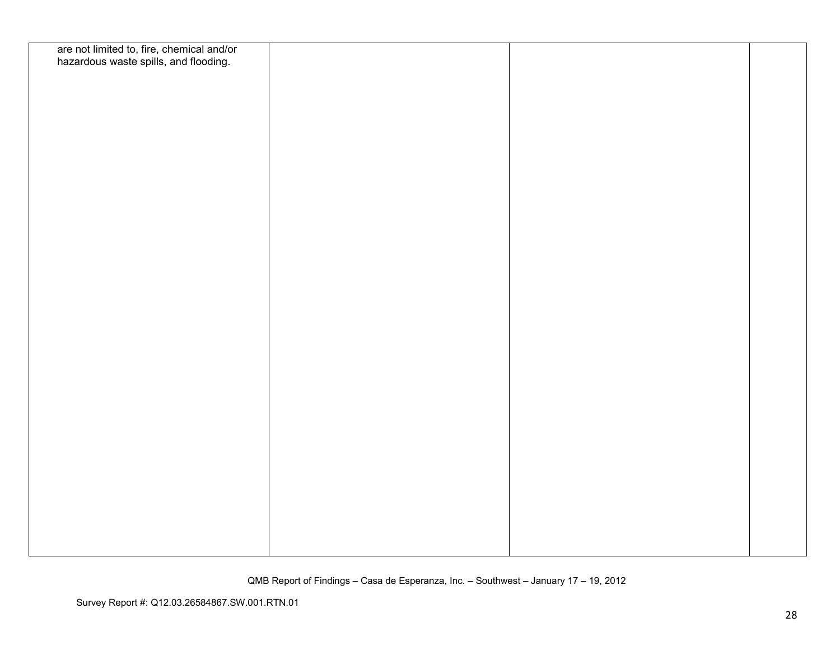| are not limited to, fire, chemical and/or<br>hazardous waste spills, and flooding. |  |  |
|------------------------------------------------------------------------------------|--|--|
|                                                                                    |  |  |
|                                                                                    |  |  |
|                                                                                    |  |  |
|                                                                                    |  |  |
|                                                                                    |  |  |
|                                                                                    |  |  |
|                                                                                    |  |  |
|                                                                                    |  |  |
|                                                                                    |  |  |
|                                                                                    |  |  |
|                                                                                    |  |  |
|                                                                                    |  |  |
|                                                                                    |  |  |
|                                                                                    |  |  |
|                                                                                    |  |  |
|                                                                                    |  |  |
|                                                                                    |  |  |
|                                                                                    |  |  |
|                                                                                    |  |  |
|                                                                                    |  |  |
|                                                                                    |  |  |
|                                                                                    |  |  |
|                                                                                    |  |  |
|                                                                                    |  |  |
|                                                                                    |  |  |
|                                                                                    |  |  |
|                                                                                    |  |  |
|                                                                                    |  |  |
|                                                                                    |  |  |
|                                                                                    |  |  |
|                                                                                    |  |  |
|                                                                                    |  |  |
|                                                                                    |  |  |
|                                                                                    |  |  |
|                                                                                    |  |  |
|                                                                                    |  |  |
|                                                                                    |  |  |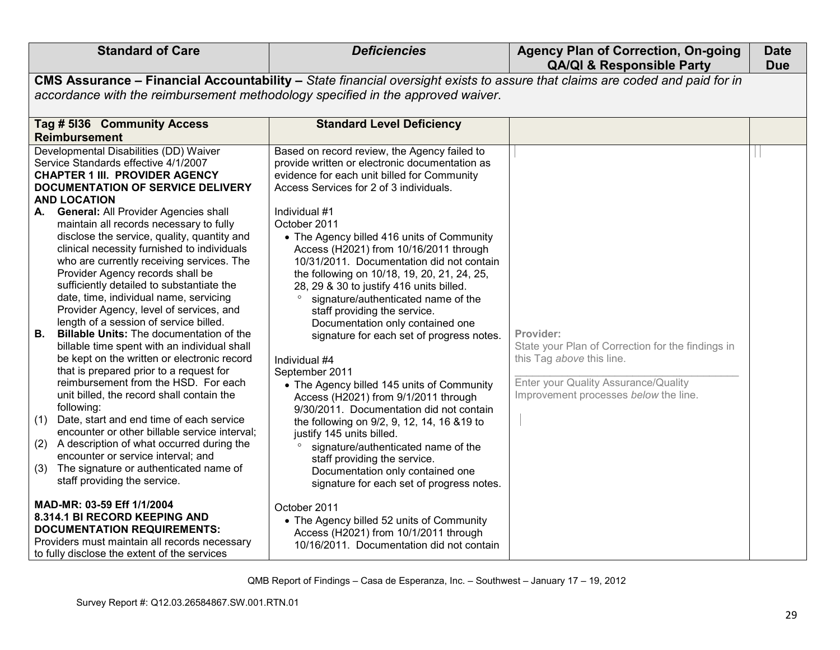| <b>Standard of Care</b>                                                        | <b>Deficiencies</b>                                                                                                         | <b>Agency Plan of Correction, On-going</b><br><b>QA/QI &amp; Responsible Party</b> | <b>Date</b><br><b>Due</b> |
|--------------------------------------------------------------------------------|-----------------------------------------------------------------------------------------------------------------------------|------------------------------------------------------------------------------------|---------------------------|
|                                                                                | CMS Assurance - Financial Accountability - State financial oversight exists to assure that claims are coded and paid for in |                                                                                    |                           |
|                                                                                | accordance with the reimbursement methodology specified in the approved waiver.                                             |                                                                                    |                           |
| Tag # 5136 Community Access                                                    | <b>Standard Level Deficiency</b>                                                                                            |                                                                                    |                           |
| <b>Reimbursement</b>                                                           |                                                                                                                             |                                                                                    |                           |
| Developmental Disabilities (DD) Waiver<br>Service Standards effective 4/1/2007 | Based on record review, the Agency failed to<br>provide written or electronic documentation as                              |                                                                                    |                           |
| <b>CHAPTER 1 III. PROVIDER AGENCY</b>                                          | evidence for each unit billed for Community                                                                                 |                                                                                    |                           |
| DOCUMENTATION OF SERVICE DELIVERY                                              | Access Services for 2 of 3 individuals.                                                                                     |                                                                                    |                           |
| <b>AND LOCATION</b>                                                            |                                                                                                                             |                                                                                    |                           |
| <b>General: All Provider Agencies shall</b><br>А.                              | Individual #1                                                                                                               |                                                                                    |                           |
| maintain all records necessary to fully                                        | October 2011                                                                                                                |                                                                                    |                           |
| disclose the service, quality, quantity and                                    | • The Agency billed 416 units of Community                                                                                  |                                                                                    |                           |
| clinical necessity furnished to individuals                                    | Access (H2021) from 10/16/2011 through                                                                                      |                                                                                    |                           |
| who are currently receiving services. The                                      | 10/31/2011. Documentation did not contain                                                                                   |                                                                                    |                           |
| Provider Agency records shall be<br>sufficiently detailed to substantiate the  | the following on 10/18, 19, 20, 21, 24, 25,<br>28, 29 & 30 to justify 416 units billed.                                     |                                                                                    |                           |
| date, time, individual name, servicing                                         | signature/authenticated name of the                                                                                         |                                                                                    |                           |
| Provider Agency, level of services, and                                        | staff providing the service.                                                                                                |                                                                                    |                           |
| length of a session of service billed.                                         | Documentation only contained one                                                                                            |                                                                                    |                           |
| Billable Units: The documentation of the<br>В.                                 | signature for each set of progress notes.                                                                                   | Provider:                                                                          |                           |
| billable time spent with an individual shall                                   |                                                                                                                             | State your Plan of Correction for the findings in                                  |                           |
| be kept on the written or electronic record                                    | Individual #4                                                                                                               | this Tag above this line.                                                          |                           |
| that is prepared prior to a request for                                        | September 2011                                                                                                              |                                                                                    |                           |
| reimbursement from the HSD. For each                                           | • The Agency billed 145 units of Community                                                                                  | Enter your Quality Assurance/Quality                                               |                           |
| unit billed, the record shall contain the<br>following:                        | Access (H2021) from 9/1/2011 through                                                                                        | Improvement processes below the line.                                              |                           |
| Date, start and end time of each service<br>(1)                                | 9/30/2011. Documentation did not contain                                                                                    |                                                                                    |                           |
| encounter or other billable service interval;                                  | the following on 9/2, 9, 12, 14, 16 & 19 to<br>justify 145 units billed.                                                    |                                                                                    |                           |
| A description of what occurred during the<br>(2)                               | signature/authenticated name of the                                                                                         |                                                                                    |                           |
| encounter or service interval; and                                             | staff providing the service.                                                                                                |                                                                                    |                           |
| The signature or authenticated name of<br>(3)                                  | Documentation only contained one                                                                                            |                                                                                    |                           |
| staff providing the service.                                                   | signature for each set of progress notes.                                                                                   |                                                                                    |                           |
| MAD-MR: 03-59 Eff 1/1/2004                                                     | October 2011                                                                                                                |                                                                                    |                           |
| 8.314.1 BI RECORD KEEPING AND                                                  | • The Agency billed 52 units of Community                                                                                   |                                                                                    |                           |
| <b>DOCUMENTATION REQUIREMENTS:</b>                                             | Access (H2021) from 10/1/2011 through                                                                                       |                                                                                    |                           |
| Providers must maintain all records necessary                                  | 10/16/2011. Documentation did not contain                                                                                   |                                                                                    |                           |
| to fully disclose the extent of the services                                   |                                                                                                                             |                                                                                    |                           |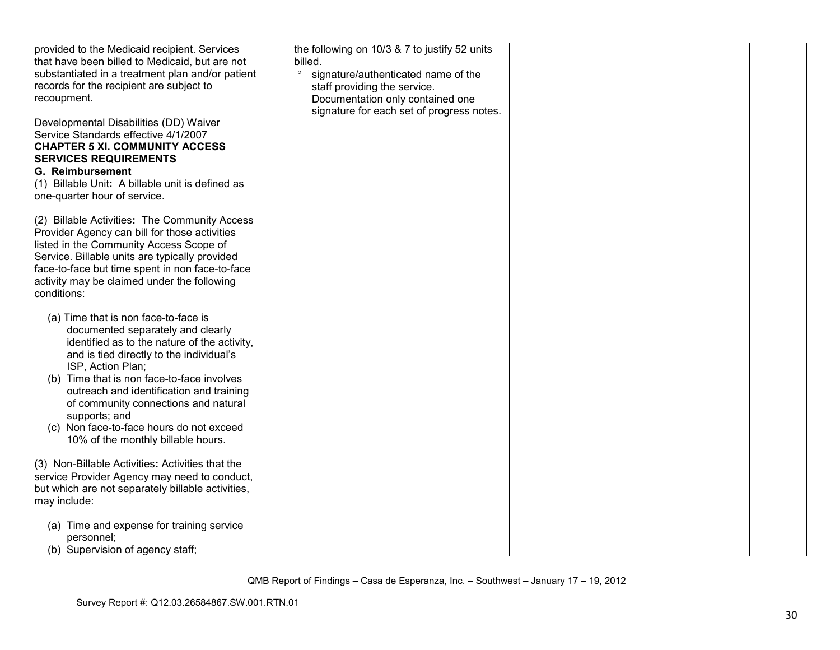| provided to the Medicaid recipient. Services<br>that have been billed to Medicaid, but are not<br>substantiated in a treatment plan and/or patient<br>records for the recipient are subject to<br>recoupment.                                                                                                                                                                                                                   | the following on 10/3 & 7 to justify 52 units<br>billed.<br>$\circ$<br>signature/authenticated name of the<br>staff providing the service.<br>Documentation only contained one |  |
|---------------------------------------------------------------------------------------------------------------------------------------------------------------------------------------------------------------------------------------------------------------------------------------------------------------------------------------------------------------------------------------------------------------------------------|--------------------------------------------------------------------------------------------------------------------------------------------------------------------------------|--|
| Developmental Disabilities (DD) Waiver<br>Service Standards effective 4/1/2007<br><b>CHAPTER 5 XI. COMMUNITY ACCESS</b><br><b>SERVICES REQUIREMENTS</b><br><b>G. Reimbursement</b><br>(1) Billable Unit: A billable unit is defined as<br>one-quarter hour of service.                                                                                                                                                          | signature for each set of progress notes.                                                                                                                                      |  |
| (2) Billable Activities: The Community Access<br>Provider Agency can bill for those activities<br>listed in the Community Access Scope of<br>Service. Billable units are typically provided<br>face-to-face but time spent in non face-to-face<br>activity may be claimed under the following<br>conditions:                                                                                                                    |                                                                                                                                                                                |  |
| (a) Time that is non face-to-face is<br>documented separately and clearly<br>identified as to the nature of the activity,<br>and is tied directly to the individual's<br>ISP, Action Plan;<br>(b) Time that is non face-to-face involves<br>outreach and identification and training<br>of community connections and natural<br>supports; and<br>(c) Non face-to-face hours do not exceed<br>10% of the monthly billable hours. |                                                                                                                                                                                |  |
| (3) Non-Billable Activities: Activities that the<br>service Provider Agency may need to conduct,<br>but which are not separately billable activities,<br>may include:                                                                                                                                                                                                                                                           |                                                                                                                                                                                |  |
| (a) Time and expense for training service<br>personnel;<br>(b) Supervision of agency staff;                                                                                                                                                                                                                                                                                                                                     |                                                                                                                                                                                |  |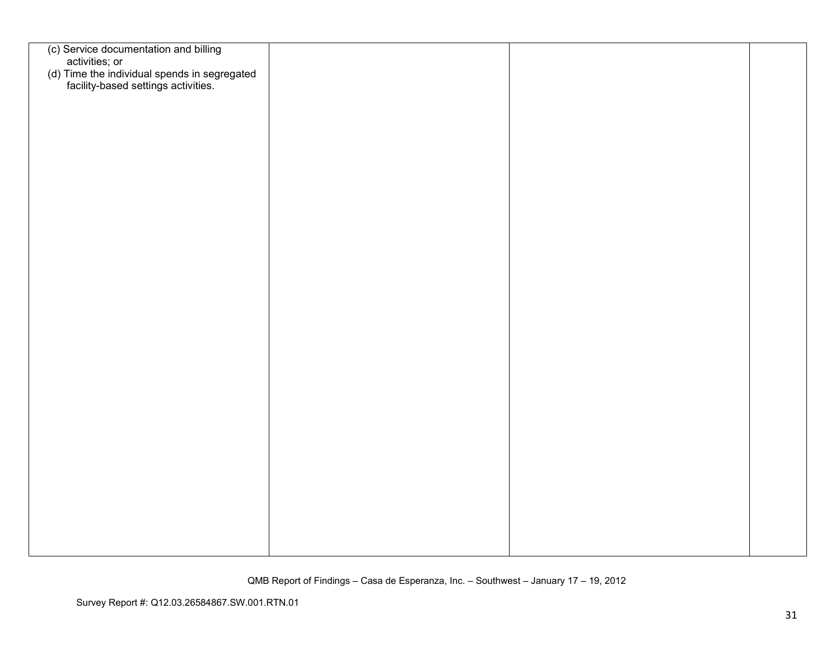| (c) Service documentation and billing                                                                 |  |  |
|-------------------------------------------------------------------------------------------------------|--|--|
|                                                                                                       |  |  |
| activities; or<br>(d) Time the individual spends in segregated<br>facility-based settings activities. |  |  |
|                                                                                                       |  |  |
|                                                                                                       |  |  |
|                                                                                                       |  |  |
|                                                                                                       |  |  |
|                                                                                                       |  |  |
|                                                                                                       |  |  |
|                                                                                                       |  |  |
|                                                                                                       |  |  |
|                                                                                                       |  |  |
|                                                                                                       |  |  |
|                                                                                                       |  |  |
|                                                                                                       |  |  |
|                                                                                                       |  |  |
|                                                                                                       |  |  |
|                                                                                                       |  |  |
|                                                                                                       |  |  |
|                                                                                                       |  |  |
|                                                                                                       |  |  |
|                                                                                                       |  |  |
|                                                                                                       |  |  |
|                                                                                                       |  |  |
|                                                                                                       |  |  |
|                                                                                                       |  |  |
|                                                                                                       |  |  |
|                                                                                                       |  |  |
|                                                                                                       |  |  |
|                                                                                                       |  |  |
|                                                                                                       |  |  |
|                                                                                                       |  |  |
|                                                                                                       |  |  |
|                                                                                                       |  |  |
|                                                                                                       |  |  |
|                                                                                                       |  |  |
|                                                                                                       |  |  |
|                                                                                                       |  |  |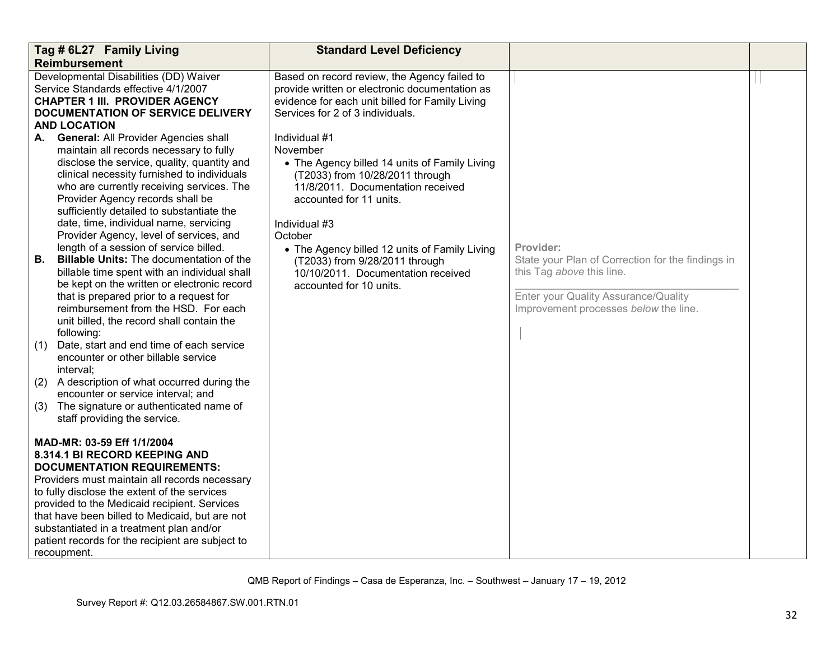|                 | Tag # 6L27 Family Living                                                                                                                                                                                                                                                                                                                                                                                                                                                                                                                                                                                                                                                                                                                                                                                                                          | <b>Standard Level Deficiency</b>                                                                                                                                                                                                                                                                                                                              |                                                                                                                                                                              |  |
|-----------------|---------------------------------------------------------------------------------------------------------------------------------------------------------------------------------------------------------------------------------------------------------------------------------------------------------------------------------------------------------------------------------------------------------------------------------------------------------------------------------------------------------------------------------------------------------------------------------------------------------------------------------------------------------------------------------------------------------------------------------------------------------------------------------------------------------------------------------------------------|---------------------------------------------------------------------------------------------------------------------------------------------------------------------------------------------------------------------------------------------------------------------------------------------------------------------------------------------------------------|------------------------------------------------------------------------------------------------------------------------------------------------------------------------------|--|
|                 | <b>Reimbursement</b>                                                                                                                                                                                                                                                                                                                                                                                                                                                                                                                                                                                                                                                                                                                                                                                                                              |                                                                                                                                                                                                                                                                                                                                                               |                                                                                                                                                                              |  |
|                 | Developmental Disabilities (DD) Waiver<br>Service Standards effective 4/1/2007<br><b>CHAPTER 1 III. PROVIDER AGENCY</b><br><b>DOCUMENTATION OF SERVICE DELIVERY</b><br><b>AND LOCATION</b>                                                                                                                                                                                                                                                                                                                                                                                                                                                                                                                                                                                                                                                        | Based on record review, the Agency failed to<br>provide written or electronic documentation as<br>evidence for each unit billed for Family Living<br>Services for 2 of 3 individuals.                                                                                                                                                                         |                                                                                                                                                                              |  |
| А.<br>В.<br>(1) | <b>General: All Provider Agencies shall</b><br>maintain all records necessary to fully<br>disclose the service, quality, quantity and<br>clinical necessity furnished to individuals<br>who are currently receiving services. The<br>Provider Agency records shall be<br>sufficiently detailed to substantiate the<br>date, time, individual name, servicing<br>Provider Agency, level of services, and<br>length of a session of service billed.<br><b>Billable Units: The documentation of the</b><br>billable time spent with an individual shall<br>be kept on the written or electronic record<br>that is prepared prior to a request for<br>reimbursement from the HSD. For each<br>unit billed, the record shall contain the<br>following:<br>Date, start and end time of each service<br>encounter or other billable service<br>interval; | Individual #1<br>November<br>• The Agency billed 14 units of Family Living<br>(T2033) from 10/28/2011 through<br>11/8/2011. Documentation received<br>accounted for 11 units.<br>Individual #3<br>October<br>• The Agency billed 12 units of Family Living<br>(T2033) from 9/28/2011 through<br>10/10/2011. Documentation received<br>accounted for 10 units. | Provider:<br>State your Plan of Correction for the findings in<br>this Tag above this line.<br>Enter your Quality Assurance/Quality<br>Improvement processes below the line. |  |
| (2)<br>(3)      | A description of what occurred during the<br>encounter or service interval; and<br>The signature or authenticated name of<br>staff providing the service.                                                                                                                                                                                                                                                                                                                                                                                                                                                                                                                                                                                                                                                                                         |                                                                                                                                                                                                                                                                                                                                                               |                                                                                                                                                                              |  |
|                 | MAD-MR: 03-59 Eff 1/1/2004<br>8.314.1 BI RECORD KEEPING AND<br><b>DOCUMENTATION REQUIREMENTS:</b><br>Providers must maintain all records necessary<br>to fully disclose the extent of the services<br>provided to the Medicaid recipient. Services<br>that have been billed to Medicaid, but are not<br>substantiated in a treatment plan and/or<br>patient records for the recipient are subject to<br>recoupment.                                                                                                                                                                                                                                                                                                                                                                                                                               |                                                                                                                                                                                                                                                                                                                                                               |                                                                                                                                                                              |  |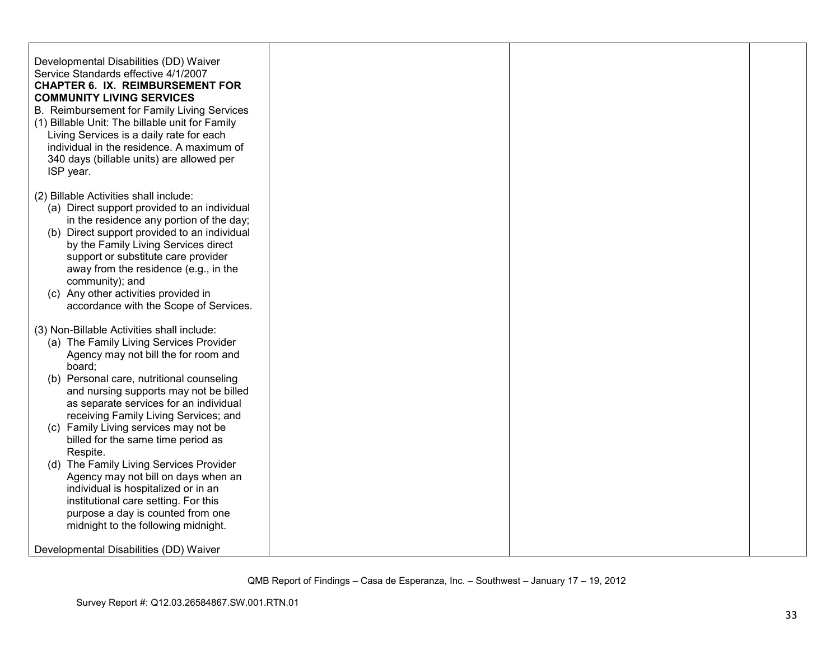| Developmental Disabilities (DD) Waiver<br>Service Standards effective 4/1/2007<br><b>CHAPTER 6. IX. REIMBURSEMENT FOR</b><br><b>COMMUNITY LIVING SERVICES</b><br>B. Reimbursement for Family Living Services<br>(1) Billable Unit: The billable unit for Family<br>Living Services is a daily rate for each<br>individual in the residence. A maximum of<br>340 days (billable units) are allowed per<br>ISP year.                                                                                                                                                                                                                                        |  |  |
|-----------------------------------------------------------------------------------------------------------------------------------------------------------------------------------------------------------------------------------------------------------------------------------------------------------------------------------------------------------------------------------------------------------------------------------------------------------------------------------------------------------------------------------------------------------------------------------------------------------------------------------------------------------|--|--|
| (2) Billable Activities shall include:<br>(a) Direct support provided to an individual<br>in the residence any portion of the day;<br>(b) Direct support provided to an individual<br>by the Family Living Services direct<br>support or substitute care provider<br>away from the residence (e.g., in the<br>community); and<br>(c) Any other activities provided in<br>accordance with the Scope of Services.                                                                                                                                                                                                                                           |  |  |
| (3) Non-Billable Activities shall include:<br>(a) The Family Living Services Provider<br>Agency may not bill the for room and<br>board;<br>(b) Personal care, nutritional counseling<br>and nursing supports may not be billed<br>as separate services for an individual<br>receiving Family Living Services; and<br>(c) Family Living services may not be<br>billed for the same time period as<br>Respite.<br>(d) The Family Living Services Provider<br>Agency may not bill on days when an<br>individual is hospitalized or in an<br>institutional care setting. For this<br>purpose a day is counted from one<br>midnight to the following midnight. |  |  |
| Developmental Disabilities (DD) Waiver                                                                                                                                                                                                                                                                                                                                                                                                                                                                                                                                                                                                                    |  |  |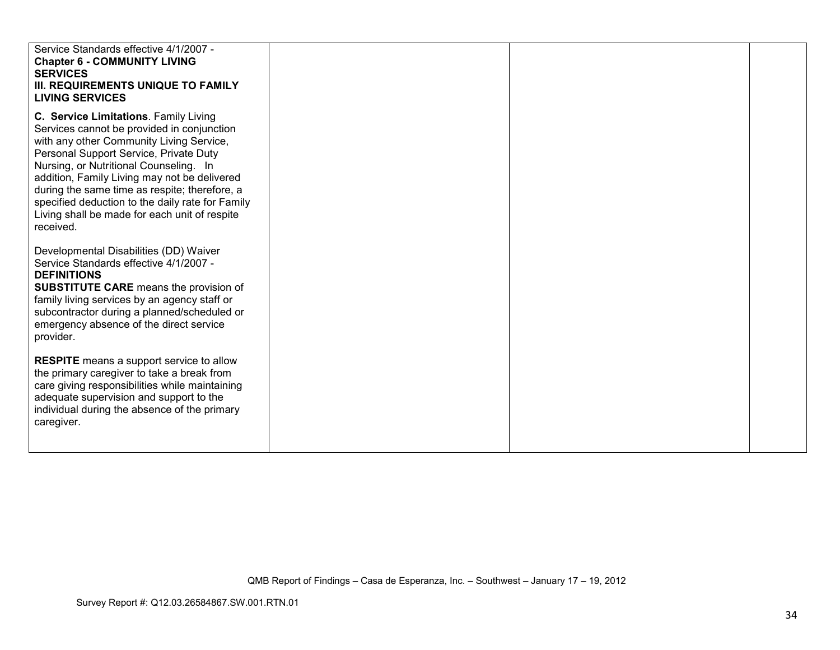| Service Standards effective 4/1/2007 -<br><b>Chapter 6 - COMMUNITY LIVING</b><br><b>SERVICES</b><br>III. REQUIREMENTS UNIQUE TO FAMILY<br><b>LIVING SERVICES</b>                                                                                                                                                                                                                                                                       |  |  |
|----------------------------------------------------------------------------------------------------------------------------------------------------------------------------------------------------------------------------------------------------------------------------------------------------------------------------------------------------------------------------------------------------------------------------------------|--|--|
| C. Service Limitations. Family Living<br>Services cannot be provided in conjunction<br>with any other Community Living Service,<br>Personal Support Service, Private Duty<br>Nursing, or Nutritional Counseling. In<br>addition, Family Living may not be delivered<br>during the same time as respite; therefore, a<br>specified deduction to the daily rate for Family<br>Living shall be made for each unit of respite<br>received. |  |  |
| Developmental Disabilities (DD) Waiver<br>Service Standards effective 4/1/2007 -<br><b>DEFINITIONS</b><br><b>SUBSTITUTE CARE</b> means the provision of<br>family living services by an agency staff or<br>subcontractor during a planned/scheduled or<br>emergency absence of the direct service<br>provider.                                                                                                                         |  |  |
| <b>RESPITE</b> means a support service to allow<br>the primary caregiver to take a break from<br>care giving responsibilities while maintaining<br>adequate supervision and support to the<br>individual during the absence of the primary<br>caregiver.                                                                                                                                                                               |  |  |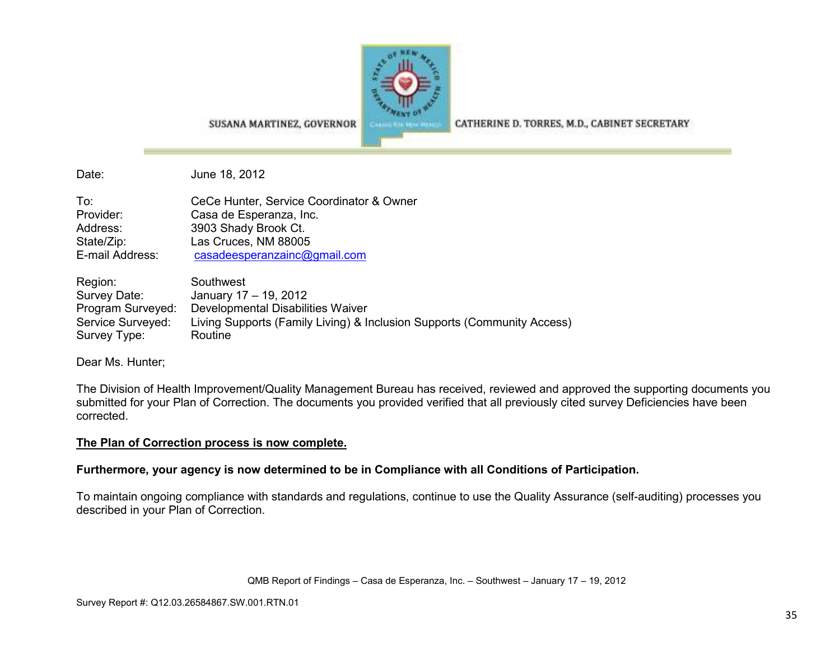

SUSANA MARTINEZ, GOVERNOR

CATHERINE D. TORRES, M.D., CABINET SECRETARY

Date: June 18, 2012

| To:             | CeCe Hunter, Service Coordinator & Owner |
|-----------------|------------------------------------------|
| Provider:       | Casa de Esperanza, Inc.                  |
| Address:        | 3903 Shady Brook Ct.                     |
| State/Zip:      | Las Cruces, NM 88005                     |
| E-mail Address: | casadeesperanzainc@gmail.com             |

| Region:           | Southwest                                                               |
|-------------------|-------------------------------------------------------------------------|
| Survey Date:      | January 17 - 19, 2012                                                   |
| Program Surveyed: | Developmental Disabilities Waiver                                       |
| Service Surveyed: | Living Supports (Family Living) & Inclusion Supports (Community Access) |
| Survey Type:      | Routine                                                                 |

Dear Ms. Hunter;

The Division of Health Improvement/Quality Management Bureau has received, reviewed and approved the supporting documents you submitted for your Plan of Correction. The documents you provided verified that all previously cited survey Deficiencies have been corrected.

## **The Plan of Correction process is now complete.**

## **Furthermore, your agency is now determined to be in Compliance with all Conditions of Participation.**

To maintain ongoing compliance with standards and regulations, continue to use the Quality Assurance (self-auditing) processes you described in your Plan of Correction.